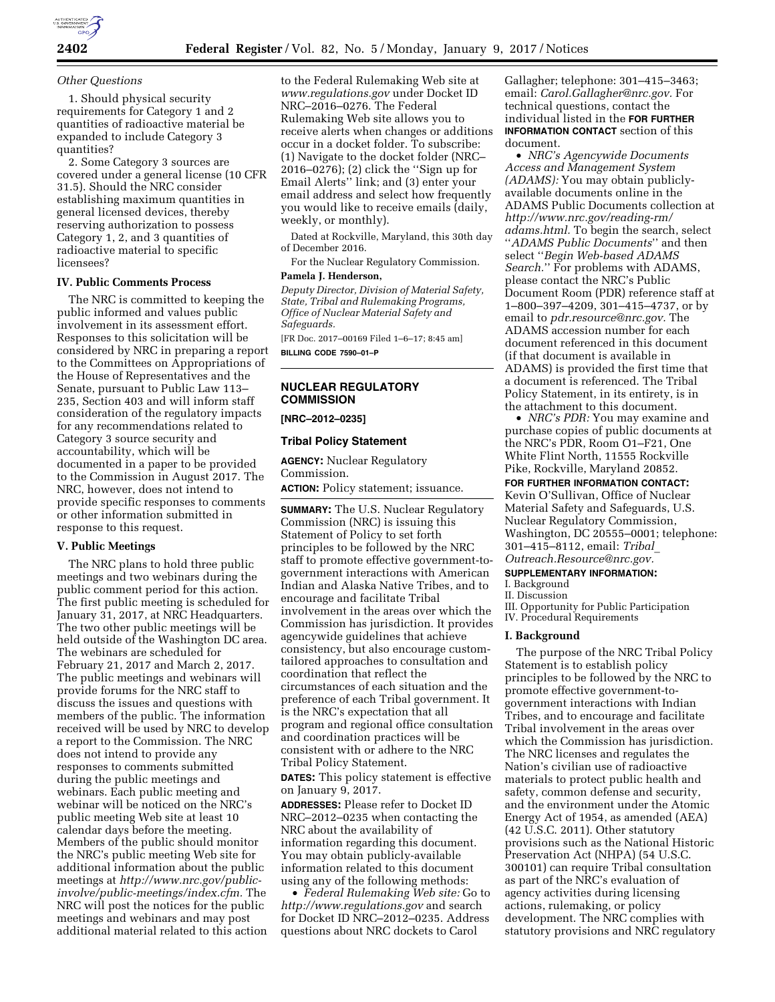

#### *Other Questions*

1. Should physical security requirements for Category 1 and 2 quantities of radioactive material be expanded to include Category 3 quantities?

2. Some Category 3 sources are covered under a general license (10 CFR 31.5). Should the NRC consider establishing maximum quantities in general licensed devices, thereby reserving authorization to possess Category 1, 2, and 3 quantities of radioactive material to specific licensees?

#### **IV. Public Comments Process**

The NRC is committed to keeping the public informed and values public involvement in its assessment effort. Responses to this solicitation will be considered by NRC in preparing a report to the Committees on Appropriations of the House of Representatives and the Senate, pursuant to Public Law 113– 235, Section 403 and will inform staff consideration of the regulatory impacts for any recommendations related to Category 3 source security and accountability, which will be documented in a paper to be provided to the Commission in August 2017. The NRC, however, does not intend to provide specific responses to comments or other information submitted in response to this request.

# **V. Public Meetings**

The NRC plans to hold three public meetings and two webinars during the public comment period for this action. The first public meeting is scheduled for January 31, 2017, at NRC Headquarters. The two other public meetings will be held outside of the Washington DC area. The webinars are scheduled for February 21, 2017 and March 2, 2017. The public meetings and webinars will provide forums for the NRC staff to discuss the issues and questions with members of the public. The information received will be used by NRC to develop a report to the Commission. The NRC does not intend to provide any responses to comments submitted during the public meetings and webinars. Each public meeting and webinar will be noticed on the NRC's public meeting Web site at least 10 calendar days before the meeting. Members of the public should monitor the NRC's public meeting Web site for additional information about the public meetings at *[http://www.nrc.gov/public](http://www.nrc.gov/public-involve/public-meetings/index.cfm)[involve/public-meetings/index.cfm.](http://www.nrc.gov/public-involve/public-meetings/index.cfm)* The NRC will post the notices for the public meetings and webinars and may post additional material related to this action

to the Federal Rulemaking Web site at *[www.regulations.gov](http://www.regulations.gov)* under Docket ID NRC–2016–0276. The Federal Rulemaking Web site allows you to receive alerts when changes or additions occur in a docket folder. To subscribe: (1) Navigate to the docket folder (NRC– 2016–0276); (2) click the ''Sign up for Email Alerts'' link; and (3) enter your email address and select how frequently you would like to receive emails (daily, weekly, or monthly).

Dated at Rockville, Maryland, this 30th day of December 2016.

For the Nuclear Regulatory Commission.

# **Pamela J. Henderson,**

*Deputy Director, Division of Material Safety, State, Tribal and Rulemaking Programs, Office of Nuclear Material Safety and Safeguards.* 

[FR Doc. 2017–00169 Filed 1–6–17; 8:45 am] **BILLING CODE 7590–01–P** 

# **NUCLEAR REGULATORY COMMISSION**

# **[NRC–2012–0235]**

#### **Tribal Policy Statement**

**AGENCY:** Nuclear Regulatory Commission.

**ACTION:** Policy statement; issuance.

**SUMMARY:** The U.S. Nuclear Regulatory Commission (NRC) is issuing this Statement of Policy to set forth principles to be followed by the NRC staff to promote effective government-togovernment interactions with American Indian and Alaska Native Tribes, and to encourage and facilitate Tribal involvement in the areas over which the Commission has jurisdiction. It provides agencywide guidelines that achieve consistency, but also encourage customtailored approaches to consultation and coordination that reflect the circumstances of each situation and the preference of each Tribal government. It is the NRC's expectation that all program and regional office consultation and coordination practices will be consistent with or adhere to the NRC Tribal Policy Statement.

**DATES:** This policy statement is effective on January 9, 2017.

**ADDRESSES:** Please refer to Docket ID NRC–2012–0235 when contacting the NRC about the availability of information regarding this document. You may obtain publicly-available information related to this document using any of the following methods:

• *Federal Rulemaking Web site:* Go to *<http://www.regulations.gov>* and search for Docket ID NRC–2012–0235. Address questions about NRC dockets to Carol

Gallagher; telephone: 301–415–3463; email: *[Carol.Gallagher@nrc.gov.](mailto:Carol.Gallagher@nrc.gov)* For technical questions, contact the individual listed in the **FOR FURTHER INFORMATION CONTACT** section of this document.

• *NRC's Agencywide Documents Access and Management System (ADAMS):* You may obtain publiclyavailable documents online in the ADAMS Public Documents collection at *[http://www.nrc.gov/reading-rm/](http://www.nrc.gov/reading-rm/adams.html)  [adams.html.](http://www.nrc.gov/reading-rm/adams.html)* To begin the search, select ''*ADAMS Public Documents*'' and then select ''*Begin Web-based ADAMS Search.*'' For problems with ADAMS, please contact the NRC's Public Document Room (PDR) reference staff at 1–800–397–4209, 301–415–4737, or by email to *[pdr.resource@nrc.gov.](mailto:pdr.resource@nrc.gov)* The ADAMS accession number for each document referenced in this document (if that document is available in ADAMS) is provided the first time that a document is referenced. The Tribal Policy Statement, in its entirety, is in the attachment to this document.

• *NRC's PDR:* You may examine and purchase copies of public documents at the NRC's PDR, Room O1–F21, One White Flint North, 11555 Rockville Pike, Rockville, Maryland 20852.

**FOR FURTHER INFORMATION CONTACT:** 

Kevin O'Sullivan, Office of Nuclear Material Safety and Safeguards, U.S. Nuclear Regulatory Commission, Washington, DC 20555–0001; telephone: 301–415–8112, email: *[Tribal](mailto:Tribal_Outreach.Resource@nrc.gov)*\_ *[Outreach.Resource@nrc.gov.](mailto:Tribal_Outreach.Resource@nrc.gov)* 

#### **SUPPLEMENTARY INFORMATION:**

I. Background

#### II. Discussion

III. Opportunity for Public Participation

IV. Procedural Requirements

#### **I. Background**

The purpose of the NRC Tribal Policy Statement is to establish policy principles to be followed by the NRC to promote effective government-togovernment interactions with Indian Tribes, and to encourage and facilitate Tribal involvement in the areas over which the Commission has jurisdiction. The NRC licenses and regulates the Nation's civilian use of radioactive materials to protect public health and safety, common defense and security, and the environment under the Atomic Energy Act of 1954, as amended (AEA) (42 U.S.C. 2011). Other statutory provisions such as the National Historic Preservation Act (NHPA) (54 U.S.C. 300101) can require Tribal consultation as part of the NRC's evaluation of agency activities during licensing actions, rulemaking, or policy development. The NRC complies with statutory provisions and NRC regulatory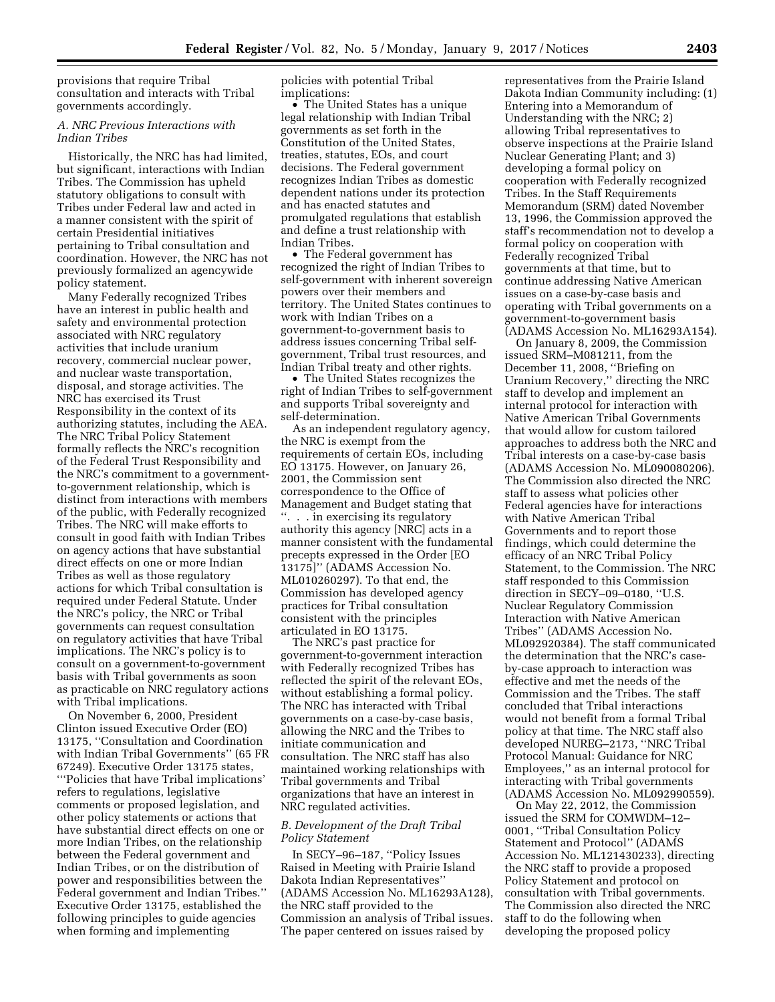provisions that require Tribal consultation and interacts with Tribal governments accordingly.

## *A. NRC Previous Interactions with Indian Tribes*

Historically, the NRC has had limited, but significant, interactions with Indian Tribes. The Commission has upheld statutory obligations to consult with Tribes under Federal law and acted in a manner consistent with the spirit of certain Presidential initiatives pertaining to Tribal consultation and coordination. However, the NRC has not previously formalized an agencywide policy statement.

Many Federally recognized Tribes have an interest in public health and safety and environmental protection associated with NRC regulatory activities that include uranium recovery, commercial nuclear power, and nuclear waste transportation, disposal, and storage activities. The NRC has exercised its Trust Responsibility in the context of its authorizing statutes, including the AEA. The NRC Tribal Policy Statement formally reflects the NRC's recognition of the Federal Trust Responsibility and the NRC's commitment to a governmentto-government relationship, which is distinct from interactions with members of the public, with Federally recognized Tribes. The NRC will make efforts to consult in good faith with Indian Tribes on agency actions that have substantial direct effects on one or more Indian Tribes as well as those regulatory actions for which Tribal consultation is required under Federal Statute. Under the NRC's policy, the NRC or Tribal governments can request consultation on regulatory activities that have Tribal implications. The NRC's policy is to consult on a government-to-government basis with Tribal governments as soon as practicable on NRC regulatory actions with Tribal implications.

On November 6, 2000, President Clinton issued Executive Order (EO) 13175, ''Consultation and Coordination with Indian Tribal Governments'' (65 FR 67249). Executive Order 13175 states, '''Policies that have Tribal implications' refers to regulations, legislative comments or proposed legislation, and other policy statements or actions that have substantial direct effects on one or more Indian Tribes, on the relationship between the Federal government and Indian Tribes, or on the distribution of power and responsibilities between the Federal government and Indian Tribes.'' Executive Order 13175, established the following principles to guide agencies when forming and implementing

policies with potential Tribal implications:

• The United States has a unique legal relationship with Indian Tribal governments as set forth in the Constitution of the United States, treaties, statutes, EOs, and court decisions. The Federal government recognizes Indian Tribes as domestic dependent nations under its protection and has enacted statutes and promulgated regulations that establish and define a trust relationship with Indian Tribes.

• The Federal government has recognized the right of Indian Tribes to self-government with inherent sovereign powers over their members and territory. The United States continues to work with Indian Tribes on a government-to-government basis to address issues concerning Tribal selfgovernment, Tribal trust resources, and Indian Tribal treaty and other rights.

• The United States recognizes the right of Indian Tribes to self-government and supports Tribal sovereignty and self-determination.

As an independent regulatory agency, the NRC is exempt from the requirements of certain EOs, including EO 13175. However, on January 26, 2001, the Commission sent correspondence to the Office of Management and Budget stating that ''. . . in exercising its regulatory authority this agency [NRC] acts in a manner consistent with the fundamental precepts expressed in the Order [EO 13175]'' (ADAMS Accession No. ML010260297). To that end, the Commission has developed agency practices for Tribal consultation consistent with the principles articulated in EO 13175.

The NRC's past practice for government-to-government interaction with Federally recognized Tribes has reflected the spirit of the relevant EOs, without establishing a formal policy. The NRC has interacted with Tribal governments on a case-by-case basis, allowing the NRC and the Tribes to initiate communication and consultation. The NRC staff has also maintained working relationships with Tribal governments and Tribal organizations that have an interest in NRC regulated activities.

# *B. Development of the Draft Tribal Policy Statement*

In SECY–96–187, ''Policy Issues Raised in Meeting with Prairie Island Dakota Indian Representatives'' (ADAMS Accession No. ML16293A128), the NRC staff provided to the Commission an analysis of Tribal issues. The paper centered on issues raised by

representatives from the Prairie Island Dakota Indian Community including: (1) Entering into a Memorandum of Understanding with the NRC; 2) allowing Tribal representatives to observe inspections at the Prairie Island Nuclear Generating Plant; and 3) developing a formal policy on cooperation with Federally recognized Tribes. In the Staff Requirements Memorandum (SRM) dated November 13, 1996, the Commission approved the staff's recommendation not to develop a formal policy on cooperation with Federally recognized Tribal governments at that time, but to continue addressing Native American issues on a case-by-case basis and operating with Tribal governments on a government-to-government basis (ADAMS Accession No. ML16293A154).

On January 8, 2009, the Commission issued SRM–M081211, from the December 11, 2008, ''Briefing on Uranium Recovery,'' directing the NRC staff to develop and implement an internal protocol for interaction with Native American Tribal Governments that would allow for custom tailored approaches to address both the NRC and Tribal interests on a case-by-case basis (ADAMS Accession No. ML090080206). The Commission also directed the NRC staff to assess what policies other Federal agencies have for interactions with Native American Tribal Governments and to report those findings, which could determine the efficacy of an NRC Tribal Policy Statement, to the Commission. The NRC staff responded to this Commission direction in SECY–09–0180, ''U.S. Nuclear Regulatory Commission Interaction with Native American Tribes'' (ADAMS Accession No. ML092920384). The staff communicated the determination that the NRC's caseby-case approach to interaction was effective and met the needs of the Commission and the Tribes. The staff concluded that Tribal interactions would not benefit from a formal Tribal policy at that time. The NRC staff also developed NUREG–2173, ''NRC Tribal Protocol Manual: Guidance for NRC Employees,'' as an internal protocol for interacting with Tribal governments (ADAMS Accession No. ML092990559).

On May 22, 2012, the Commission issued the SRM for COMWDM–12– 0001, ''Tribal Consultation Policy Statement and Protocol'' (ADAMS Accession No. ML121430233), directing the NRC staff to provide a proposed Policy Statement and protocol on consultation with Tribal governments. The Commission also directed the NRC staff to do the following when developing the proposed policy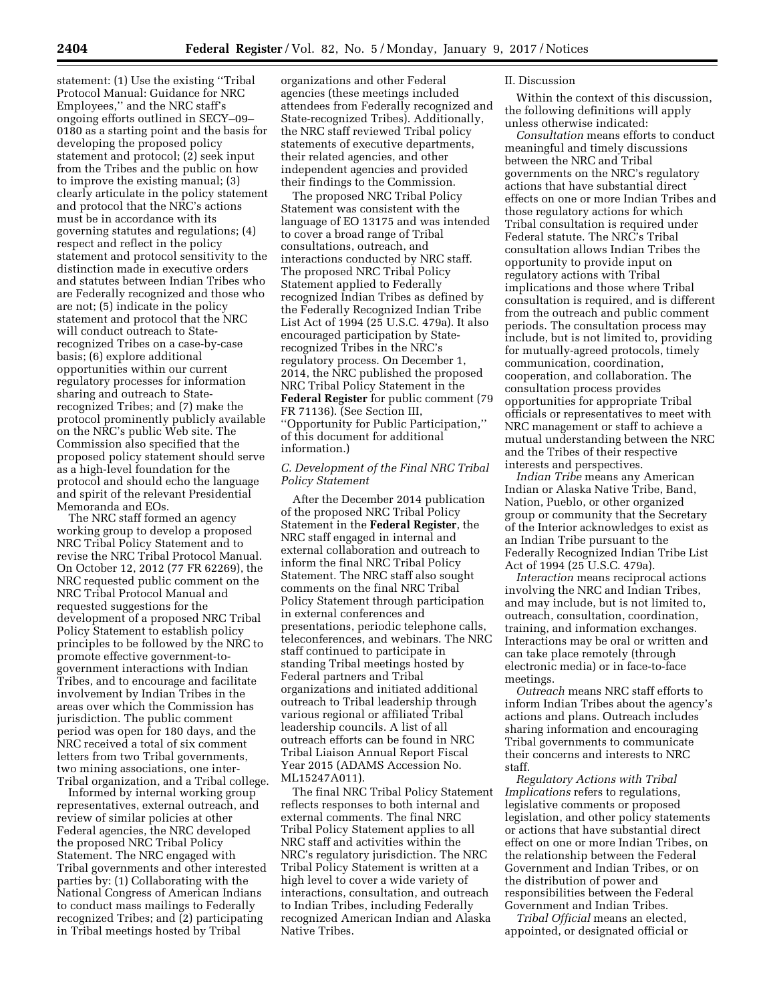statement: (1) Use the existing ''Tribal Protocol Manual: Guidance for NRC Employees,'' and the NRC staff's ongoing efforts outlined in SECY–09– 0180 as a starting point and the basis for developing the proposed policy statement and protocol; (2) seek input from the Tribes and the public on how to improve the existing manual; (3) clearly articulate in the policy statement and protocol that the NRC's actions must be in accordance with its governing statutes and regulations; (4) respect and reflect in the policy statement and protocol sensitivity to the distinction made in executive orders and statutes between Indian Tribes who are Federally recognized and those who are not; (5) indicate in the policy statement and protocol that the NRC will conduct outreach to Staterecognized Tribes on a case-by-case basis; (6) explore additional opportunities within our current regulatory processes for information sharing and outreach to Staterecognized Tribes; and (7) make the protocol prominently publicly available on the NRC's public Web site. The Commission also specified that the proposed policy statement should serve as a high-level foundation for the protocol and should echo the language and spirit of the relevant Presidential Memoranda and EOs.

The NRC staff formed an agency working group to develop a proposed NRC Tribal Policy Statement and to revise the NRC Tribal Protocol Manual. On October 12, 2012 (77 FR 62269), the NRC requested public comment on the NRC Tribal Protocol Manual and requested suggestions for the development of a proposed NRC Tribal Policy Statement to establish policy principles to be followed by the NRC to promote effective government-togovernment interactions with Indian Tribes, and to encourage and facilitate involvement by Indian Tribes in the areas over which the Commission has jurisdiction. The public comment period was open for 180 days, and the NRC received a total of six comment letters from two Tribal governments, two mining associations, one inter-Tribal organization, and a Tribal college.

Informed by internal working group representatives, external outreach, and review of similar policies at other Federal agencies, the NRC developed the proposed NRC Tribal Policy Statement. The NRC engaged with Tribal governments and other interested parties by: (1) Collaborating with the National Congress of American Indians to conduct mass mailings to Federally recognized Tribes; and (2) participating in Tribal meetings hosted by Tribal

organizations and other Federal agencies (these meetings included attendees from Federally recognized and State-recognized Tribes). Additionally, the NRC staff reviewed Tribal policy statements of executive departments, their related agencies, and other independent agencies and provided their findings to the Commission.

The proposed NRC Tribal Policy Statement was consistent with the language of EO 13175 and was intended to cover a broad range of Tribal consultations, outreach, and interactions conducted by NRC staff. The proposed NRC Tribal Policy Statement applied to Federally recognized Indian Tribes as defined by the Federally Recognized Indian Tribe List Act of 1994 (25 U.S.C. 479a). It also encouraged participation by Staterecognized Tribes in the NRC's regulatory process. On December 1, 2014, the NRC published the proposed NRC Tribal Policy Statement in the **Federal Register** for public comment (79 FR 71136). (See Section III, ''Opportunity for Public Participation,'' of this document for additional information.)

# *C. Development of the Final NRC Tribal Policy Statement*

After the December 2014 publication of the proposed NRC Tribal Policy Statement in the **Federal Register**, the NRC staff engaged in internal and external collaboration and outreach to inform the final NRC Tribal Policy Statement. The NRC staff also sought comments on the final NRC Tribal Policy Statement through participation in external conferences and presentations, periodic telephone calls, teleconferences, and webinars. The NRC staff continued to participate in standing Tribal meetings hosted by Federal partners and Tribal organizations and initiated additional outreach to Tribal leadership through various regional or affiliated Tribal leadership councils. A list of all outreach efforts can be found in NRC Tribal Liaison Annual Report Fiscal Year 2015 (ADAMS Accession No. ML15247A011).

The final NRC Tribal Policy Statement reflects responses to both internal and external comments. The final NRC Tribal Policy Statement applies to all NRC staff and activities within the NRC's regulatory jurisdiction. The NRC Tribal Policy Statement is written at a high level to cover a wide variety of interactions, consultation, and outreach to Indian Tribes, including Federally recognized American Indian and Alaska Native Tribes.

### II. Discussion

Within the context of this discussion, the following definitions will apply unless otherwise indicated:

*Consultation* means efforts to conduct meaningful and timely discussions between the NRC and Tribal governments on the NRC's regulatory actions that have substantial direct effects on one or more Indian Tribes and those regulatory actions for which Tribal consultation is required under Federal statute. The NRC's Tribal consultation allows Indian Tribes the opportunity to provide input on regulatory actions with Tribal implications and those where Tribal consultation is required, and is different from the outreach and public comment periods. The consultation process may include, but is not limited to, providing for mutually-agreed protocols, timely communication, coordination, cooperation, and collaboration. The consultation process provides opportunities for appropriate Tribal officials or representatives to meet with NRC management or staff to achieve a mutual understanding between the NRC and the Tribes of their respective interests and perspectives.

*Indian Tribe* means any American Indian or Alaska Native Tribe, Band, Nation, Pueblo, or other organized group or community that the Secretary of the Interior acknowledges to exist as an Indian Tribe pursuant to the Federally Recognized Indian Tribe List Act of 1994 (25 U.S.C. 479a).

*Interaction* means reciprocal actions involving the NRC and Indian Tribes, and may include, but is not limited to, outreach, consultation, coordination, training, and information exchanges. Interactions may be oral or written and can take place remotely (through electronic media) or in face-to-face meetings.

*Outreach* means NRC staff efforts to inform Indian Tribes about the agency's actions and plans. Outreach includes sharing information and encouraging Tribal governments to communicate their concerns and interests to NRC staff.

*Regulatory Actions with Tribal Implications* refers to regulations, legislative comments or proposed legislation, and other policy statements or actions that have substantial direct effect on one or more Indian Tribes, on the relationship between the Federal Government and Indian Tribes, or on the distribution of power and responsibilities between the Federal Government and Indian Tribes.

*Tribal Official* means an elected, appointed, or designated official or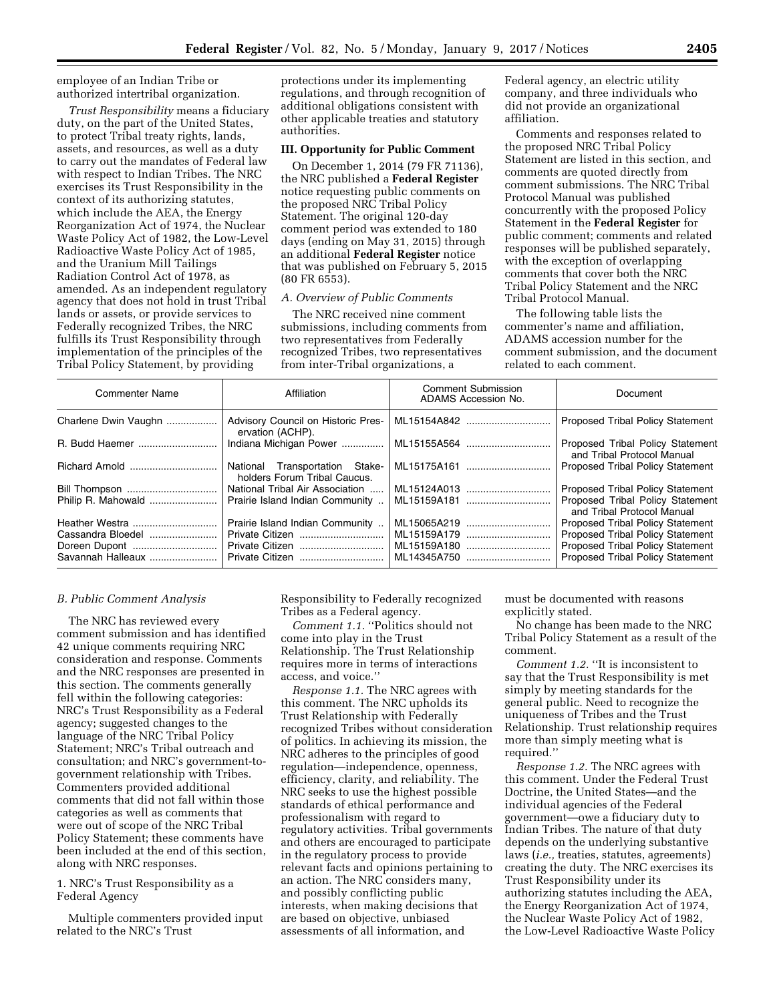employee of an Indian Tribe or authorized intertribal organization.

*Trust Responsibility* means a fiduciary duty, on the part of the United States, to protect Tribal treaty rights, lands, assets, and resources, as well as a duty to carry out the mandates of Federal law with respect to Indian Tribes. The NRC exercises its Trust Responsibility in the context of its authorizing statutes, which include the AEA, the Energy Reorganization Act of 1974, the Nuclear Waste Policy Act of 1982, the Low-Level Radioactive Waste Policy Act of 1985, and the Uranium Mill Tailings Radiation Control Act of 1978, as amended. As an independent regulatory agency that does not hold in trust Tribal lands or assets, or provide services to Federally recognized Tribes, the NRC fulfills its Trust Responsibility through implementation of the principles of the Tribal Policy Statement, by providing

protections under its implementing regulations, and through recognition of additional obligations consistent with other applicable treaties and statutory authorities.

#### **III. Opportunity for Public Comment**

On December 1, 2014 (79 FR 71136), the NRC published a **Federal Register**  notice requesting public comments on the proposed NRC Tribal Policy Statement. The original 120-day comment period was extended to 180 days (ending on May 31, 2015) through an additional **Federal Register** notice that was published on February 5, 2015 (80 FR 6553).

# *A. Overview of Public Comments*

The NRC received nine comment submissions, including comments from two representatives from Federally recognized Tribes, two representatives from inter-Tribal organizations, a

Federal agency, an electric utility company, and three individuals who did not provide an organizational affiliation.

Comments and responses related to the proposed NRC Tribal Policy Statement are listed in this section, and comments are quoted directly from comment submissions. The NRC Tribal Protocol Manual was published concurrently with the proposed Policy Statement in the **Federal Register** for public comment; comments and related responses will be published separately, with the exception of overlapping comments that cover both the NRC Tribal Policy Statement and the NRC Tribal Protocol Manual.

The following table lists the commenter's name and affiliation, ADAMS accession number for the comment submission, and the document related to each comment.

| <b>Commenter Name</b>                                   | Affiliation                                                    | <b>Comment Submission</b><br>ADAMS Accession No. | Document                                                                                                                      |
|---------------------------------------------------------|----------------------------------------------------------------|--------------------------------------------------|-------------------------------------------------------------------------------------------------------------------------------|
| Charlene Dwin Vaughn                                    | Advisory Council on Historic Pres-<br>ervation (ACHP).         | ML15154A842                                      | <b>Proposed Tribal Policy Statement</b>                                                                                       |
|                                                         |                                                                |                                                  | Proposed Tribal Policy Statement<br>and Tribal Protocol Manual                                                                |
|                                                         | National Transportation Stake-<br>holders Forum Tribal Caucus. | ML15175A161                                      | <b>Proposed Tribal Policy Statement</b>                                                                                       |
|                                                         | National Tribal Air Association    ML15124A013                 |                                                  | <b>Proposed Tribal Policy Statement</b>                                                                                       |
|                                                         | Prairie Island Indian Community                                | ML15159A181                                      | Proposed Tribal Policy Statement<br>and Tribal Protocol Manual                                                                |
|                                                         | Prairie Island Indian Community                                | ML15065A219                                      | <b>Proposed Tribal Policy Statement</b>                                                                                       |
| Cassandra Bloedel<br>Doreen Dupont<br>Savannah Halleaux | Private Citizen<br>Private Citizen<br>Private Citizen          | ML15159A179<br>ML15159A180<br>ML14345A750        | <b>Proposed Tribal Policy Statement</b><br><b>Proposed Tribal Policy Statement</b><br><b>Proposed Tribal Policy Statement</b> |

### *B. Public Comment Analysis*

The NRC has reviewed every comment submission and has identified 42 unique comments requiring NRC consideration and response. Comments and the NRC responses are presented in this section. The comments generally fell within the following categories: NRC's Trust Responsibility as a Federal agency; suggested changes to the language of the NRC Tribal Policy Statement; NRC's Tribal outreach and consultation; and NRC's government-togovernment relationship with Tribes. Commenters provided additional comments that did not fall within those categories as well as comments that were out of scope of the NRC Tribal Policy Statement; these comments have been included at the end of this section, along with NRC responses.

1. NRC's Trust Responsibility as a Federal Agency

Multiple commenters provided input related to the NRC's Trust

Responsibility to Federally recognized Tribes as a Federal agency.

*Comment 1.1.* ''Politics should not come into play in the Trust Relationship. The Trust Relationship requires more in terms of interactions access, and voice.''

*Response 1.1.* The NRC agrees with this comment. The NRC upholds its Trust Relationship with Federally recognized Tribes without consideration of politics. In achieving its mission, the NRC adheres to the principles of good regulation—independence, openness, efficiency, clarity, and reliability. The NRC seeks to use the highest possible standards of ethical performance and professionalism with regard to regulatory activities. Tribal governments and others are encouraged to participate in the regulatory process to provide relevant facts and opinions pertaining to an action. The NRC considers many, and possibly conflicting public interests, when making decisions that are based on objective, unbiased assessments of all information, and

must be documented with reasons explicitly stated.

No change has been made to the NRC Tribal Policy Statement as a result of the comment.

*Comment 1.2.* ''It is inconsistent to say that the Trust Responsibility is met simply by meeting standards for the general public. Need to recognize the uniqueness of Tribes and the Trust Relationship. Trust relationship requires more than simply meeting what is required.''

*Response 1.2.* The NRC agrees with this comment. Under the Federal Trust Doctrine, the United States—and the individual agencies of the Federal government—owe a fiduciary duty to Indian Tribes. The nature of that duty depends on the underlying substantive laws (*i.e.,* treaties, statutes, agreements) creating the duty. The NRC exercises its Trust Responsibility under its authorizing statutes including the AEA, the Energy Reorganization Act of 1974, the Nuclear Waste Policy Act of 1982, the Low-Level Radioactive Waste Policy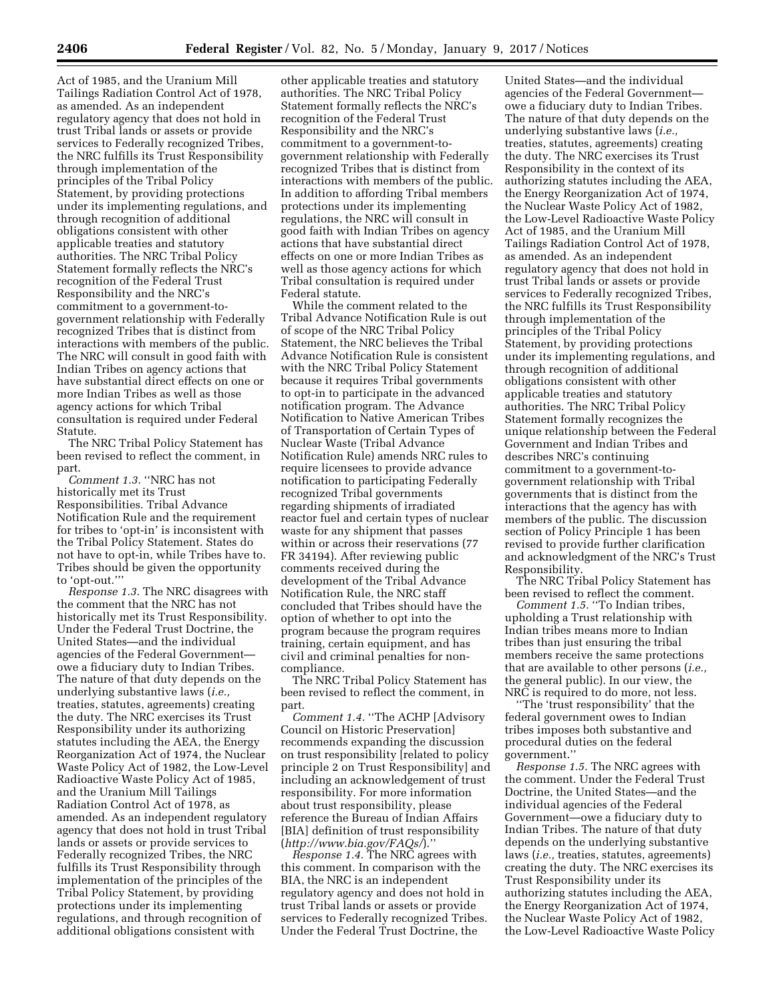Act of 1985, and the Uranium Mill Tailings Radiation Control Act of 1978, as amended. As an independent regulatory agency that does not hold in trust Tribal lands or assets or provide services to Federally recognized Tribes, the NRC fulfills its Trust Responsibility through implementation of the principles of the Tribal Policy Statement, by providing protections under its implementing regulations, and through recognition of additional obligations consistent with other applicable treaties and statutory authorities. The NRC Tribal Policy Statement formally reflects the NRC's recognition of the Federal Trust Responsibility and the NRC's commitment to a government-togovernment relationship with Federally recognized Tribes that is distinct from interactions with members of the public. The NRC will consult in good faith with Indian Tribes on agency actions that have substantial direct effects on one or more Indian Tribes as well as those agency actions for which Tribal consultation is required under Federal Statute.

The NRC Tribal Policy Statement has been revised to reflect the comment, in part.

*Comment 1.3.* ''NRC has not historically met its Trust Responsibilities. Tribal Advance Notification Rule and the requirement for tribes to 'opt-in' is inconsistent with the Tribal Policy Statement. States do not have to opt-in, while Tribes have to. Tribes should be given the opportunity to 'opt-out.'''

*Response 1.3.* The NRC disagrees with the comment that the NRC has not historically met its Trust Responsibility. Under the Federal Trust Doctrine, the United States—and the individual agencies of the Federal Government owe a fiduciary duty to Indian Tribes. The nature of that duty depends on the underlying substantive laws (*i.e.,*  treaties, statutes, agreements) creating the duty. The NRC exercises its Trust Responsibility under its authorizing statutes including the AEA, the Energy Reorganization Act of 1974, the Nuclear Waste Policy Act of 1982, the Low-Level Radioactive Waste Policy Act of 1985, and the Uranium Mill Tailings Radiation Control Act of 1978, as amended. As an independent regulatory agency that does not hold in trust Tribal lands or assets or provide services to Federally recognized Tribes, the NRC fulfills its Trust Responsibility through implementation of the principles of the Tribal Policy Statement, by providing protections under its implementing regulations, and through recognition of additional obligations consistent with

other applicable treaties and statutory authorities. The NRC Tribal Policy Statement formally reflects the NRC's recognition of the Federal Trust Responsibility and the NRC's commitment to a government-togovernment relationship with Federally recognized Tribes that is distinct from interactions with members of the public. In addition to affording Tribal members protections under its implementing regulations, the NRC will consult in good faith with Indian Tribes on agency actions that have substantial direct effects on one or more Indian Tribes as well as those agency actions for which Tribal consultation is required under Federal statute.

While the comment related to the Tribal Advance Notification Rule is out of scope of the NRC Tribal Policy Statement, the NRC believes the Tribal Advance Notification Rule is consistent with the NRC Tribal Policy Statement because it requires Tribal governments to opt-in to participate in the advanced notification program. The Advance Notification to Native American Tribes of Transportation of Certain Types of Nuclear Waste (Tribal Advance Notification Rule) amends NRC rules to require licensees to provide advance notification to participating Federally recognized Tribal governments regarding shipments of irradiated reactor fuel and certain types of nuclear waste for any shipment that passes within or across their reservations (77 FR 34194). After reviewing public comments received during the development of the Tribal Advance Notification Rule, the NRC staff concluded that Tribes should have the option of whether to opt into the program because the program requires training, certain equipment, and has civil and criminal penalties for noncompliance.

The NRC Tribal Policy Statement has been revised to reflect the comment, in part.

*Comment 1.4.* ''The ACHP [Advisory Council on Historic Preservation] recommends expanding the discussion on trust responsibility [related to policy principle 2 on Trust Responsibility] and including an acknowledgement of trust responsibility. For more information about trust responsibility, please reference the Bureau of Indian Affairs [BIA] definition of trust responsibility (*<http://www.bia.gov/FAQs/>*).''

*Response 1.4.* The NRC agrees with this comment. In comparison with the BIA, the NRC is an independent regulatory agency and does not hold in trust Tribal lands or assets or provide services to Federally recognized Tribes. Under the Federal Trust Doctrine, the

United States—and the individual agencies of the Federal Government owe a fiduciary duty to Indian Tribes. The nature of that duty depends on the underlying substantive laws (*i.e.,*  treaties, statutes, agreements) creating the duty. The NRC exercises its Trust Responsibility in the context of its authorizing statutes including the AEA, the Energy Reorganization Act of 1974, the Nuclear Waste Policy Act of 1982, the Low-Level Radioactive Waste Policy Act of 1985, and the Uranium Mill Tailings Radiation Control Act of 1978, as amended. As an independent regulatory agency that does not hold in trust Tribal lands or assets or provide services to Federally recognized Tribes, the NRC fulfills its Trust Responsibility through implementation of the principles of the Tribal Policy Statement, by providing protections under its implementing regulations, and through recognition of additional obligations consistent with other applicable treaties and statutory authorities. The NRC Tribal Policy Statement formally recognizes the unique relationship between the Federal Government and Indian Tribes and describes NRC's continuing commitment to a government-togovernment relationship with Tribal governments that is distinct from the interactions that the agency has with members of the public. The discussion section of Policy Principle 1 has been revised to provide further clarification and acknowledgment of the NRC's Trust Responsibility.

The NRC Tribal Policy Statement has been revised to reflect the comment.

*Comment 1.5.* ''To Indian tribes, upholding a Trust relationship with Indian tribes means more to Indian tribes than just ensuring the tribal members receive the same protections that are available to other persons (*i.e.,*  the general public). In our view, the NRC is required to do more, not less.

''The 'trust responsibility' that the federal government owes to Indian tribes imposes both substantive and procedural duties on the federal government.''

*Response 1.5.* The NRC agrees with the comment. Under the Federal Trust Doctrine, the United States—and the individual agencies of the Federal Government—owe a fiduciary duty to Indian Tribes. The nature of that duty depends on the underlying substantive laws (*i.e.,* treaties, statutes, agreements) creating the duty. The NRC exercises its Trust Responsibility under its authorizing statutes including the AEA, the Energy Reorganization Act of 1974, the Nuclear Waste Policy Act of 1982, the Low-Level Radioactive Waste Policy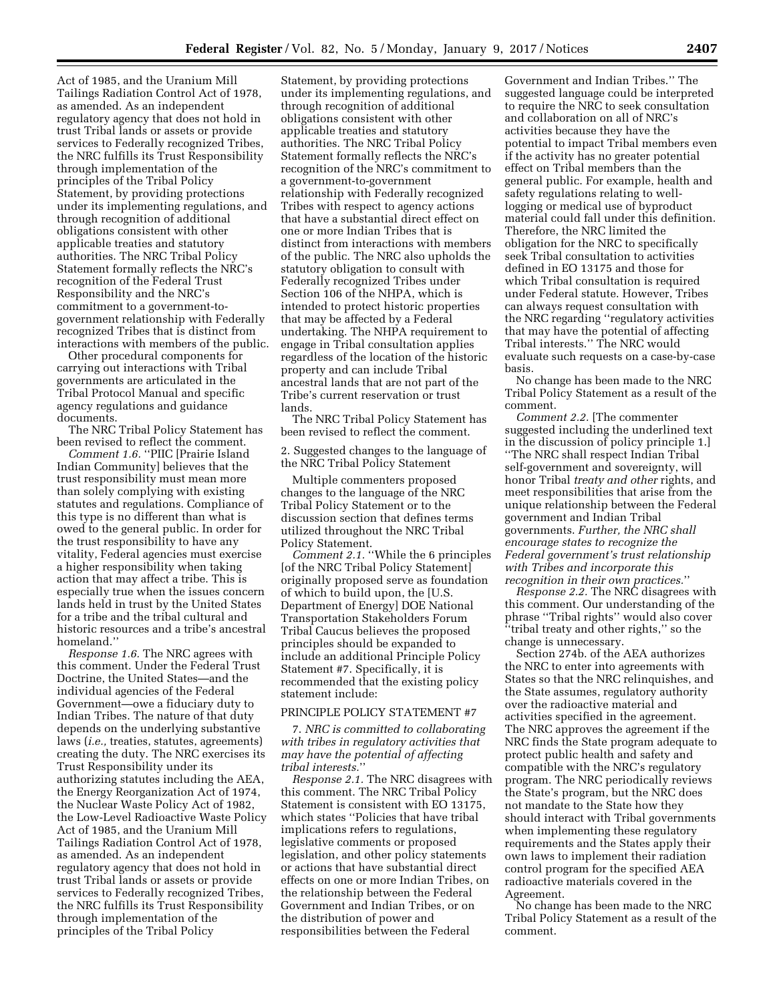Act of 1985, and the Uranium Mill Tailings Radiation Control Act of 1978, as amended. As an independent regulatory agency that does not hold in trust Tribal lands or assets or provide services to Federally recognized Tribes, the NRC fulfills its Trust Responsibility through implementation of the principles of the Tribal Policy Statement, by providing protections under its implementing regulations, and through recognition of additional obligations consistent with other applicable treaties and statutory authorities. The NRC Tribal Policy Statement formally reflects the NRC's recognition of the Federal Trust Responsibility and the NRC's commitment to a government-togovernment relationship with Federally recognized Tribes that is distinct from interactions with members of the public.

Other procedural components for carrying out interactions with Tribal governments are articulated in the Tribal Protocol Manual and specific agency regulations and guidance documents.

The NRC Tribal Policy Statement has been revised to reflect the comment.

*Comment 1.6.* ''PIIC [Prairie Island Indian Community] believes that the trust responsibility must mean more than solely complying with existing statutes and regulations. Compliance of this type is no different than what is owed to the general public. In order for the trust responsibility to have any vitality, Federal agencies must exercise a higher responsibility when taking action that may affect a tribe. This is especially true when the issues concern lands held in trust by the United States for a tribe and the tribal cultural and historic resources and a tribe's ancestral homeland.''

*Response 1.6.* The NRC agrees with this comment. Under the Federal Trust Doctrine, the United States—and the individual agencies of the Federal Government—owe a fiduciary duty to Indian Tribes. The nature of that duty depends on the underlying substantive laws (*i.e.,* treaties, statutes, agreements) creating the duty. The NRC exercises its Trust Responsibility under its authorizing statutes including the AEA, the Energy Reorganization Act of 1974, the Nuclear Waste Policy Act of 1982, the Low-Level Radioactive Waste Policy Act of 1985, and the Uranium Mill Tailings Radiation Control Act of 1978, as amended. As an independent regulatory agency that does not hold in trust Tribal lands or assets or provide services to Federally recognized Tribes, the NRC fulfills its Trust Responsibility through implementation of the principles of the Tribal Policy

Statement, by providing protections under its implementing regulations, and through recognition of additional obligations consistent with other applicable treaties and statutory authorities. The NRC Tribal Policy Statement formally reflects the NRC's recognition of the NRC's commitment to a government-to-government relationship with Federally recognized Tribes with respect to agency actions that have a substantial direct effect on one or more Indian Tribes that is distinct from interactions with members of the public. The NRC also upholds the statutory obligation to consult with Federally recognized Tribes under Section 106 of the NHPA, which is intended to protect historic properties that may be affected by a Federal undertaking. The NHPA requirement to engage in Tribal consultation applies regardless of the location of the historic property and can include Tribal ancestral lands that are not part of the Tribe's current reservation or trust lands.

The NRC Tribal Policy Statement has been revised to reflect the comment.

2. Suggested changes to the language of the NRC Tribal Policy Statement

Multiple commenters proposed changes to the language of the NRC Tribal Policy Statement or to the discussion section that defines terms utilized throughout the NRC Tribal Policy Statement.

*Comment 2.1.* ''While the 6 principles [of the NRC Tribal Policy Statement] originally proposed serve as foundation of which to build upon, the [U.S. Department of Energy] DOE National Transportation Stakeholders Forum Tribal Caucus believes the proposed principles should be expanded to include an additional Principle Policy Statement #7. Specifically, it is recommended that the existing policy statement include:

# PRINCIPLE POLICY STATEMENT #7

7. *NRC is committed to collaborating with tribes in regulatory activities that may have the potential of affecting tribal interests.*''

*Response 2.1.* The NRC disagrees with this comment. The NRC Tribal Policy Statement is consistent with EO 13175, which states ''Policies that have tribal implications refers to regulations, legislative comments or proposed legislation, and other policy statements or actions that have substantial direct effects on one or more Indian Tribes, on the relationship between the Federal Government and Indian Tribes, or on the distribution of power and responsibilities between the Federal

Government and Indian Tribes.'' The suggested language could be interpreted to require the NRC to seek consultation and collaboration on all of NRC's activities because they have the potential to impact Tribal members even if the activity has no greater potential effect on Tribal members than the general public. For example, health and safety regulations relating to welllogging or medical use of byproduct material could fall under this definition. Therefore, the NRC limited the obligation for the NRC to specifically seek Tribal consultation to activities defined in EO 13175 and those for which Tribal consultation is required under Federal statute. However, Tribes can always request consultation with the NRC regarding ''regulatory activities that may have the potential of affecting Tribal interests.'' The NRC would evaluate such requests on a case-by-case basis.

No change has been made to the NRC Tribal Policy Statement as a result of the comment.

*Comment 2.2.* [The commenter suggested including the underlined text in the discussion of policy principle 1.] ''The NRC shall respect Indian Tribal self-government and sovereignty, will honor Tribal *treaty and other* rights, and meet responsibilities that arise from the unique relationship between the Federal government and Indian Tribal governments. *Further, the NRC shall encourage states to recognize the Federal government's trust relationship with Tribes and incorporate this recognition in their own practices.*''

*Response 2.2.* The NRC disagrees with this comment. Our understanding of the phrase ''Tribal rights'' would also cover ''tribal treaty and other rights,'' so the change is unnecessary.

Section 274b. of the AEA authorizes the NRC to enter into agreements with States so that the NRC relinquishes, and the State assumes, regulatory authority over the radioactive material and activities specified in the agreement. The NRC approves the agreement if the NRC finds the State program adequate to protect public health and safety and compatible with the NRC's regulatory program. The NRC periodically reviews the State's program, but the NRC does not mandate to the State how they should interact with Tribal governments when implementing these regulatory requirements and the States apply their own laws to implement their radiation control program for the specified AEA radioactive materials covered in the Agreement.

No change has been made to the NRC Tribal Policy Statement as a result of the comment.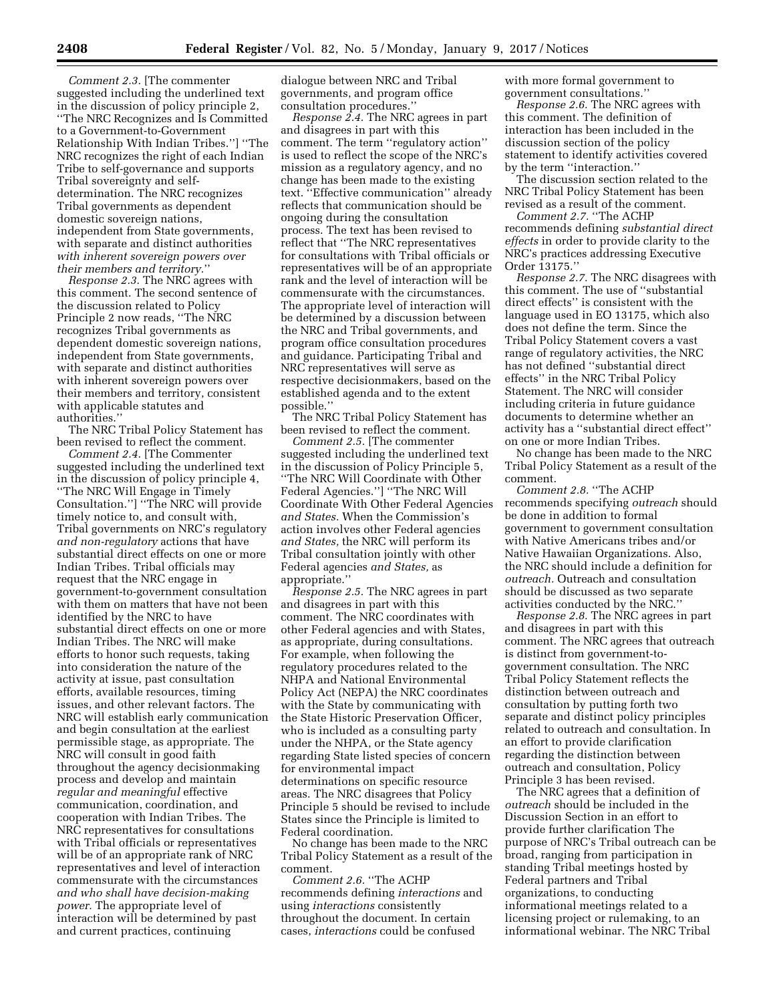*Comment 2.3.* [The commenter suggested including the underlined text in the discussion of policy principle 2, ''The NRC Recognizes and Is Committed to a Government-to-Government Relationship With Indian Tribes.''] ''The NRC recognizes the right of each Indian Tribe to self-governance and supports Tribal sovereignty and selfdetermination. The NRC recognizes Tribal governments as dependent domestic sovereign nations, independent from State governments, with separate and distinct authorities *with inherent sovereign powers over their members and territory.*''

*Response 2.3.* The NRC agrees with this comment. The second sentence of the discussion related to Policy Principle 2 now reads, ''The NRC recognizes Tribal governments as dependent domestic sovereign nations, independent from State governments, with separate and distinct authorities with inherent sovereign powers over their members and territory, consistent with applicable statutes and authorities.''

The NRC Tribal Policy Statement has been revised to reflect the comment.

*Comment 2.4.* [The Commenter suggested including the underlined text in the discussion of policy principle 4, ''The NRC Will Engage in Timely Consultation.''] ''The NRC will provide timely notice to, and consult with, Tribal governments on NRC's regulatory *and non-regulatory* actions that have substantial direct effects on one or more Indian Tribes. Tribal officials may request that the NRC engage in government-to-government consultation with them on matters that have not been identified by the NRC to have substantial direct effects on one or more Indian Tribes. The NRC will make efforts to honor such requests, taking into consideration the nature of the activity at issue, past consultation efforts, available resources, timing issues, and other relevant factors. The NRC will establish early communication and begin consultation at the earliest permissible stage, as appropriate. The NRC will consult in good faith throughout the agency decisionmaking process and develop and maintain *regular and meaningful* effective communication, coordination, and cooperation with Indian Tribes. The NRC representatives for consultations with Tribal officials or representatives will be of an appropriate rank of NRC representatives and level of interaction commensurate with the circumstances *and who shall have decision-making power.* The appropriate level of interaction will be determined by past and current practices, continuing

dialogue between NRC and Tribal governments, and program office consultation procedures.''

*Response 2.4.* The NRC agrees in part and disagrees in part with this comment. The term ''regulatory action'' is used to reflect the scope of the NRC's mission as a regulatory agency, and no change has been made to the existing text. ''Effective communication'' already reflects that communication should be ongoing during the consultation process. The text has been revised to reflect that ''The NRC representatives for consultations with Tribal officials or representatives will be of an appropriate rank and the level of interaction will be commensurate with the circumstances. The appropriate level of interaction will be determined by a discussion between the NRC and Tribal governments, and program office consultation procedures and guidance. Participating Tribal and NRC representatives will serve as respective decisionmakers, based on the established agenda and to the extent possible.''

The NRC Tribal Policy Statement has been revised to reflect the comment.

*Comment 2.5.* [The commenter suggested including the underlined text in the discussion of Policy Principle 5, ''The NRC Will Coordinate with Other Federal Agencies.''] ''The NRC Will Coordinate With Other Federal Agencies *and States.* When the Commission's action involves other Federal agencies *and States,* the NRC will perform its Tribal consultation jointly with other Federal agencies *and States,* as appropriate.''

*Response 2.5.* The NRC agrees in part and disagrees in part with this comment. The NRC coordinates with other Federal agencies and with States, as appropriate, during consultations. For example, when following the regulatory procedures related to the NHPA and National Environmental Policy Act (NEPA) the NRC coordinates with the State by communicating with the State Historic Preservation Officer, who is included as a consulting party under the NHPA, or the State agency regarding State listed species of concern for environmental impact determinations on specific resource areas. The NRC disagrees that Policy Principle 5 should be revised to include States since the Principle is limited to Federal coordination.

No change has been made to the NRC Tribal Policy Statement as a result of the comment.

*Comment 2.6.* ''The ACHP recommends defining *interactions* and using *interactions* consistently throughout the document. In certain cases, *interactions* could be confused

with more formal government to government consultations.''

*Response 2.6.* The NRC agrees with this comment. The definition of interaction has been included in the discussion section of the policy statement to identify activities covered by the term ''interaction.''

The discussion section related to the NRC Tribal Policy Statement has been revised as a result of the comment.

*Comment 2.7.* ''The ACHP recommends defining *substantial direct effects* in order to provide clarity to the NRC's practices addressing Executive Order 13175.''

*Response 2.7.* The NRC disagrees with this comment. The use of ''substantial direct effects'' is consistent with the language used in EO 13175, which also does not define the term. Since the Tribal Policy Statement covers a vast range of regulatory activities, the NRC has not defined ''substantial direct effects'' in the NRC Tribal Policy Statement. The NRC will consider including criteria in future guidance documents to determine whether an activity has a ''substantial direct effect'' on one or more Indian Tribes.

No change has been made to the NRC Tribal Policy Statement as a result of the comment.

*Comment 2.8.* ''The ACHP recommends specifying *outreach* should be done in addition to formal government to government consultation with Native Americans tribes and/or Native Hawaiian Organizations. Also, the NRC should include a definition for *outreach.* Outreach and consultation should be discussed as two separate activities conducted by the NRC.''

*Response 2.8.* The NRC agrees in part and disagrees in part with this comment. The NRC agrees that outreach is distinct from government-togovernment consultation. The NRC Tribal Policy Statement reflects the distinction between outreach and consultation by putting forth two separate and distinct policy principles related to outreach and consultation. In an effort to provide clarification regarding the distinction between outreach and consultation, Policy Principle 3 has been revised.

The NRC agrees that a definition of *outreach* should be included in the Discussion Section in an effort to provide further clarification The purpose of NRC's Tribal outreach can be broad, ranging from participation in standing Tribal meetings hosted by Federal partners and Tribal organizations, to conducting informational meetings related to a licensing project or rulemaking, to an informational webinar. The NRC Tribal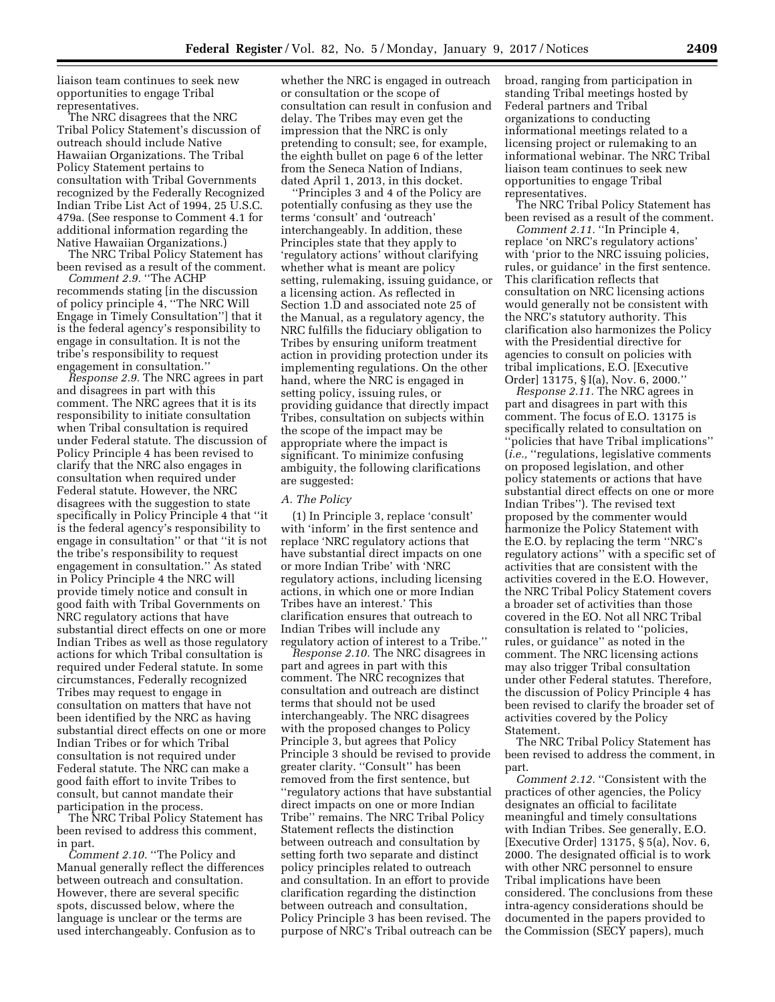liaison team continues to seek new opportunities to engage Tribal representatives.

The NRC disagrees that the NRC Tribal Policy Statement's discussion of outreach should include Native Hawaiian Organizations. The Tribal Policy Statement pertains to consultation with Tribal Governments recognized by the Federally Recognized Indian Tribe List Act of 1994, 25 U.S.C. 479a. (See response to Comment 4.1 for additional information regarding the Native Hawaiian Organizations.)

The NRC Tribal Policy Statement has been revised as a result of the comment.

*Comment 2.9.* ''The ACHP recommends stating [in the discussion of policy principle 4, ''The NRC Will Engage in Timely Consultation''] that it is the federal agency's responsibility to engage in consultation. It is not the tribe's responsibility to request engagement in consultation.''

*Response 2.9.* The NRC agrees in part and disagrees in part with this comment. The NRC agrees that it is its responsibility to initiate consultation when Tribal consultation is required under Federal statute. The discussion of Policy Principle 4 has been revised to clarify that the NRC also engages in consultation when required under Federal statute. However, the NRC disagrees with the suggestion to state specifically in Policy Principle 4 that ''it is the federal agency's responsibility to engage in consultation'' or that ''it is not the tribe's responsibility to request engagement in consultation.'' As stated in Policy Principle 4 the NRC will provide timely notice and consult in good faith with Tribal Governments on NRC regulatory actions that have substantial direct effects on one or more Indian Tribes as well as those regulatory actions for which Tribal consultation is required under Federal statute. In some circumstances, Federally recognized Tribes may request to engage in consultation on matters that have not been identified by the NRC as having substantial direct effects on one or more Indian Tribes or for which Tribal consultation is not required under Federal statute. The NRC can make a good faith effort to invite Tribes to consult, but cannot mandate their participation in the process.

The NRC Tribal Policy Statement has been revised to address this comment, in part.

*Comment 2.10.* ''The Policy and Manual generally reflect the differences between outreach and consultation. However, there are several specific spots, discussed below, where the language is unclear or the terms are used interchangeably. Confusion as to

whether the NRC is engaged in outreach or consultation or the scope of consultation can result in confusion and delay. The Tribes may even get the impression that the NRC is only pretending to consult; see, for example, the eighth bullet on page 6 of the letter from the Seneca Nation of Indians, dated April 1, 2013, in this docket.

'Principles 3 and 4 of the Policy are potentially confusing as they use the terms 'consult' and 'outreach' interchangeably. In addition, these Principles state that they apply to 'regulatory actions' without clarifying whether what is meant are policy setting, rulemaking, issuing guidance, or a licensing action. As reflected in Section 1.D and associated note 25 of the Manual, as a regulatory agency, the NRC fulfills the fiduciary obligation to Tribes by ensuring uniform treatment action in providing protection under its implementing regulations. On the other hand, where the NRC is engaged in setting policy, issuing rules, or providing guidance that directly impact Tribes, consultation on subjects within the scope of the impact may be appropriate where the impact is significant. To minimize confusing ambiguity, the following clarifications are suggested:

# *A. The Policy*

(1) In Principle 3, replace 'consult' with 'inform' in the first sentence and replace 'NRC regulatory actions that have substantial direct impacts on one or more Indian Tribe' with 'NRC regulatory actions, including licensing actions, in which one or more Indian Tribes have an interest.' This clarification ensures that outreach to Indian Tribes will include any regulatory action of interest to a Tribe.''

*Response 2.10.* The NRC disagrees in part and agrees in part with this comment. The NRC recognizes that consultation and outreach are distinct terms that should not be used interchangeably. The NRC disagrees with the proposed changes to Policy Principle 3, but agrees that Policy Principle 3 should be revised to provide greater clarity. ''Consult'' has been removed from the first sentence, but ''regulatory actions that have substantial direct impacts on one or more Indian Tribe'' remains. The NRC Tribal Policy Statement reflects the distinction between outreach and consultation by setting forth two separate and distinct policy principles related to outreach and consultation. In an effort to provide clarification regarding the distinction between outreach and consultation, Policy Principle 3 has been revised. The purpose of NRC's Tribal outreach can be

broad, ranging from participation in standing Tribal meetings hosted by Federal partners and Tribal organizations to conducting informational meetings related to a licensing project or rulemaking to an informational webinar. The NRC Tribal liaison team continues to seek new opportunities to engage Tribal representatives.

The NRC Tribal Policy Statement has been revised as a result of the comment.

*Comment 2.11.* ''In Principle 4, replace 'on NRC's regulatory actions' with 'prior to the NRC issuing policies, rules, or guidance' in the first sentence. This clarification reflects that consultation on NRC licensing actions would generally not be consistent with the NRC's statutory authority. This clarification also harmonizes the Policy with the Presidential directive for agencies to consult on policies with tribal implications, E.O. [Executive Order] 13175, § I(a), Nov. 6, 2000.''

*Response 2.11.* The NRC agrees in part and disagrees in part with this comment. The focus of E.O. 13175 is specifically related to consultation on ''policies that have Tribal implications'' (*i.e.,* ''regulations, legislative comments on proposed legislation, and other policy statements or actions that have substantial direct effects on one or more Indian Tribes''). The revised text proposed by the commenter would harmonize the Policy Statement with the E.O. by replacing the term ''NRC's regulatory actions'' with a specific set of activities that are consistent with the activities covered in the E.O. However, the NRC Tribal Policy Statement covers a broader set of activities than those covered in the EO. Not all NRC Tribal consultation is related to ''policies, rules, or guidance'' as noted in the comment. The NRC licensing actions may also trigger Tribal consultation under other Federal statutes. Therefore, the discussion of Policy Principle 4 has been revised to clarify the broader set of activities covered by the Policy Statement.

The NRC Tribal Policy Statement has been revised to address the comment, in part.

*Comment 2.12.* ''Consistent with the practices of other agencies, the Policy designates an official to facilitate meaningful and timely consultations with Indian Tribes. See generally, E.O. [Executive Order] 13175, § 5(a), Nov. 6, 2000. The designated official is to work with other NRC personnel to ensure Tribal implications have been considered. The conclusions from these intra-agency considerations should be documented in the papers provided to the Commission (SECY papers), much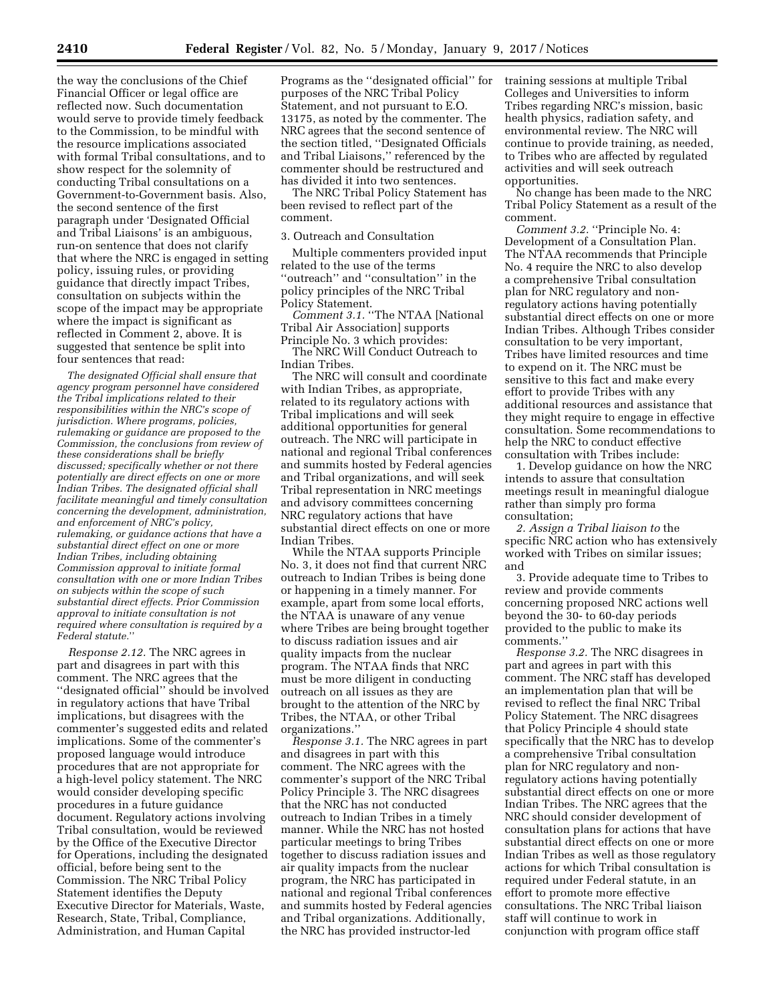the way the conclusions of the Chief Financial Officer or legal office are reflected now. Such documentation would serve to provide timely feedback to the Commission, to be mindful with the resource implications associated with formal Tribal consultations, and to show respect for the solemnity of conducting Tribal consultations on a Government-to-Government basis. Also, the second sentence of the first paragraph under 'Designated Official and Tribal Liaisons' is an ambiguous, run-on sentence that does not clarify that where the NRC is engaged in setting policy, issuing rules, or providing guidance that directly impact Tribes, consultation on subjects within the scope of the impact may be appropriate where the impact is significant as reflected in Comment 2, above. It is suggested that sentence be split into four sentences that read:

*The designated Official shall ensure that agency program personnel have considered the Tribal implications related to their responsibilities within the NRC's scope of jurisdiction. Where programs, policies, rulemaking or guidance are proposed to the Commission, the conclusions from review of these considerations shall be briefly discussed; specifically whether or not there potentially are direct effects on one or more Indian Tribes. The designated official shall facilitate meaningful and timely consultation concerning the development, administration, and enforcement of NRC's policy, rulemaking, or guidance actions that have a substantial direct effect on one or more Indian Tribes, including obtaining Commission approval to initiate formal consultation with one or more Indian Tribes on subjects within the scope of such substantial direct effects. Prior Commission approval to initiate consultation is not required where consultation is required by a Federal statute.*''

*Response 2.12.* The NRC agrees in part and disagrees in part with this comment. The NRC agrees that the ''designated official'' should be involved in regulatory actions that have Tribal implications, but disagrees with the commenter's suggested edits and related implications. Some of the commenter's proposed language would introduce procedures that are not appropriate for a high-level policy statement. The NRC would consider developing specific procedures in a future guidance document. Regulatory actions involving Tribal consultation, would be reviewed by the Office of the Executive Director for Operations, including the designated official, before being sent to the Commission. The NRC Tribal Policy Statement identifies the Deputy Executive Director for Materials, Waste, Research, State, Tribal, Compliance, Administration, and Human Capital

Programs as the ''designated official'' for purposes of the NRC Tribal Policy Statement, and not pursuant to E.O. 13175, as noted by the commenter. The NRC agrees that the second sentence of the section titled, ''Designated Officials and Tribal Liaisons,'' referenced by the commenter should be restructured and has divided it into two sentences.

The NRC Tribal Policy Statement has been revised to reflect part of the comment.

#### 3. Outreach and Consultation

Multiple commenters provided input related to the use of the terms ''outreach'' and ''consultation'' in the policy principles of the NRC Tribal Policy Statement.

*Comment 3.1.* ''The NTAA [National Tribal Air Association] supports Principle No. 3 which provides:

The NRC Will Conduct Outreach to Indian Tribes.

The NRC will consult and coordinate with Indian Tribes, as appropriate, related to its regulatory actions with Tribal implications and will seek additional opportunities for general outreach. The NRC will participate in national and regional Tribal conferences and summits hosted by Federal agencies and Tribal organizations, and will seek Tribal representation in NRC meetings and advisory committees concerning NRC regulatory actions that have substantial direct effects on one or more Indian Tribes.

While the NTAA supports Principle No. 3, it does not find that current NRC outreach to Indian Tribes is being done or happening in a timely manner. For example, apart from some local efforts, the NTAA is unaware of any venue where Tribes are being brought together to discuss radiation issues and air quality impacts from the nuclear program. The NTAA finds that NRC must be more diligent in conducting outreach on all issues as they are brought to the attention of the NRC by Tribes, the NTAA, or other Tribal organizations.''

*Response 3.1.* The NRC agrees in part and disagrees in part with this comment. The NRC agrees with the commenter's support of the NRC Tribal Policy Principle 3. The NRC disagrees that the NRC has not conducted outreach to Indian Tribes in a timely manner. While the NRC has not hosted particular meetings to bring Tribes together to discuss radiation issues and air quality impacts from the nuclear program, the NRC has participated in national and regional Tribal conferences and summits hosted by Federal agencies and Tribal organizations. Additionally, the NRC has provided instructor-led

training sessions at multiple Tribal Colleges and Universities to inform Tribes regarding NRC's mission, basic health physics, radiation safety, and environmental review. The NRC will continue to provide training, as needed, to Tribes who are affected by regulated activities and will seek outreach opportunities.

No change has been made to the NRC Tribal Policy Statement as a result of the comment.

*Comment 3.2.* "Principle No. 4: Development of a Consultation Plan. The NTAA recommends that Principle No. 4 require the NRC to also develop a comprehensive Tribal consultation plan for NRC regulatory and nonregulatory actions having potentially substantial direct effects on one or more Indian Tribes. Although Tribes consider consultation to be very important, Tribes have limited resources and time to expend on it. The NRC must be sensitive to this fact and make every effort to provide Tribes with any additional resources and assistance that they might require to engage in effective consultation. Some recommendations to help the NRC to conduct effective consultation with Tribes include:

1. Develop guidance on how the NRC intends to assure that consultation meetings result in meaningful dialogue rather than simply pro forma consultation;

*2. Assign a Tribal liaison to* the specific NRC action who has extensively worked with Tribes on similar issues; and

3. Provide adequate time to Tribes to review and provide comments concerning proposed NRC actions well beyond the 30- to 60-day periods provided to the public to make its comments.''

*Response 3.2.* The NRC disagrees in part and agrees in part with this comment. The NRC staff has developed an implementation plan that will be revised to reflect the final NRC Tribal Policy Statement. The NRC disagrees that Policy Principle 4 should state specifically that the NRC has to develop a comprehensive Tribal consultation plan for NRC regulatory and nonregulatory actions having potentially substantial direct effects on one or more Indian Tribes. The NRC agrees that the NRC should consider development of consultation plans for actions that have substantial direct effects on one or more Indian Tribes as well as those regulatory actions for which Tribal consultation is required under Federal statute, in an effort to promote more effective consultations. The NRC Tribal liaison staff will continue to work in conjunction with program office staff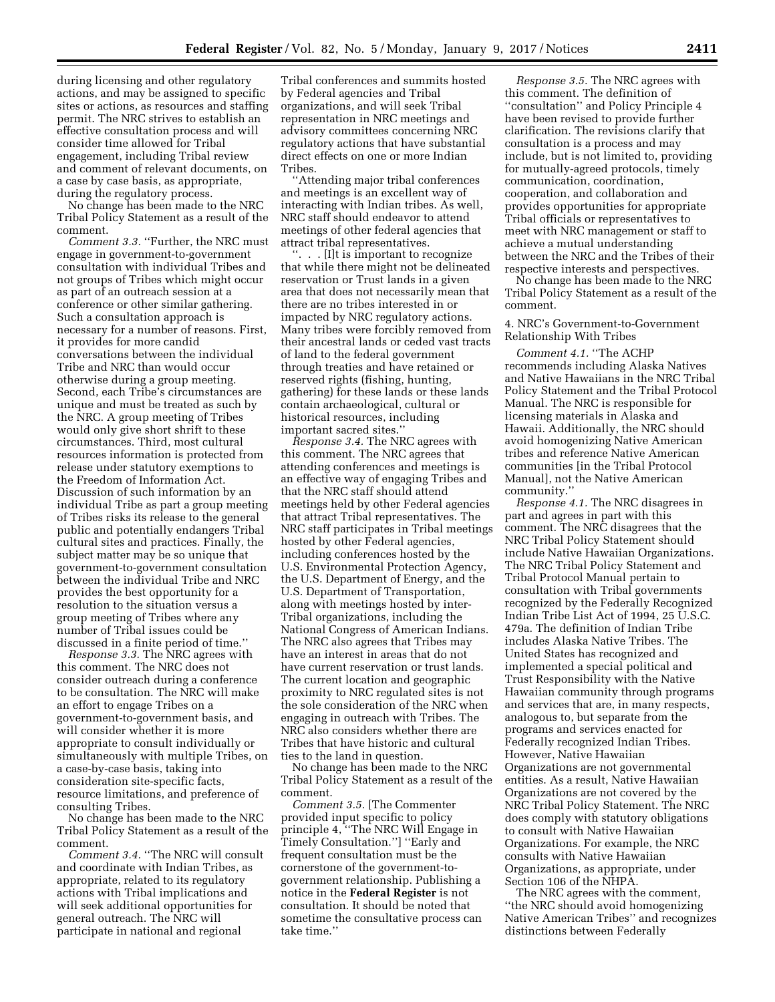during licensing and other regulatory actions, and may be assigned to specific sites or actions, as resources and staffing permit. The NRC strives to establish an effective consultation process and will consider time allowed for Tribal engagement, including Tribal review and comment of relevant documents, on a case by case basis, as appropriate, during the regulatory process.

No change has been made to the NRC Tribal Policy Statement as a result of the comment.

*Comment 3.3.* ''Further, the NRC must engage in government-to-government consultation with individual Tribes and not groups of Tribes which might occur as part of an outreach session at a conference or other similar gathering. Such a consultation approach is necessary for a number of reasons. First, it provides for more candid conversations between the individual Tribe and NRC than would occur otherwise during a group meeting. Second, each Tribe's circumstances are unique and must be treated as such by the NRC. A group meeting of Tribes would only give short shrift to these circumstances. Third, most cultural resources information is protected from release under statutory exemptions to the Freedom of Information Act. Discussion of such information by an individual Tribe as part a group meeting of Tribes risks its release to the general public and potentially endangers Tribal cultural sites and practices. Finally, the subject matter may be so unique that government-to-government consultation between the individual Tribe and NRC provides the best opportunity for a resolution to the situation versus a group meeting of Tribes where any number of Tribal issues could be discussed in a finite period of time.''

*Response 3.3.* The NRC agrees with this comment. The NRC does not consider outreach during a conference to be consultation. The NRC will make an effort to engage Tribes on a government-to-government basis, and will consider whether it is more appropriate to consult individually or simultaneously with multiple Tribes, on a case-by-case basis, taking into consideration site-specific facts, resource limitations, and preference of consulting Tribes.

No change has been made to the NRC Tribal Policy Statement as a result of the comment.

*Comment 3.4.* ''The NRC will consult and coordinate with Indian Tribes, as appropriate, related to its regulatory actions with Tribal implications and will seek additional opportunities for general outreach. The NRC will participate in national and regional

Tribal conferences and summits hosted by Federal agencies and Tribal organizations, and will seek Tribal representation in NRC meetings and advisory committees concerning NRC regulatory actions that have substantial direct effects on one or more Indian Tribes.

'Attending major tribal conferences and meetings is an excellent way of interacting with Indian tribes. As well, NRC staff should endeavor to attend meetings of other federal agencies that attract tribal representatives.

''. . . [I]t is important to recognize that while there might not be delineated reservation or Trust lands in a given area that does not necessarily mean that there are no tribes interested in or impacted by NRC regulatory actions. Many tribes were forcibly removed from their ancestral lands or ceded vast tracts of land to the federal government through treaties and have retained or reserved rights (fishing, hunting, gathering) for these lands or these lands contain archaeological, cultural or historical resources, including important sacred sites.''

*Response 3.4.* The NRC agrees with this comment. The NRC agrees that attending conferences and meetings is an effective way of engaging Tribes and that the NRC staff should attend meetings held by other Federal agencies that attract Tribal representatives. The NRC staff participates in Tribal meetings hosted by other Federal agencies, including conferences hosted by the U.S. Environmental Protection Agency, the U.S. Department of Energy, and the U.S. Department of Transportation, along with meetings hosted by inter-Tribal organizations, including the National Congress of American Indians. The NRC also agrees that Tribes may have an interest in areas that do not have current reservation or trust lands. The current location and geographic proximity to NRC regulated sites is not the sole consideration of the NRC when engaging in outreach with Tribes. The NRC also considers whether there are Tribes that have historic and cultural ties to the land in question.

No change has been made to the NRC Tribal Policy Statement as a result of the comment.

*Comment 3.5.* [The Commenter provided input specific to policy principle 4, ''The NRC Will Engage in Timely Consultation.''] ''Early and frequent consultation must be the cornerstone of the government-togovernment relationship. Publishing a notice in the **Federal Register** is not consultation. It should be noted that sometime the consultative process can take time.''

*Response 3.5.* The NRC agrees with this comment. The definition of ''consultation'' and Policy Principle 4 have been revised to provide further clarification. The revisions clarify that consultation is a process and may include, but is not limited to, providing for mutually-agreed protocols, timely communication, coordination, cooperation, and collaboration and provides opportunities for appropriate Tribal officials or representatives to meet with NRC management or staff to achieve a mutual understanding between the NRC and the Tribes of their respective interests and perspectives.

No change has been made to the NRC Tribal Policy Statement as a result of the comment.

4. NRC's Government-to-Government Relationship With Tribes

*Comment 4.1.* ''The ACHP recommends including Alaska Natives and Native Hawaiians in the NRC Tribal Policy Statement and the Tribal Protocol Manual. The NRC is responsible for licensing materials in Alaska and Hawaii. Additionally, the NRC should avoid homogenizing Native American tribes and reference Native American communities [in the Tribal Protocol Manual], not the Native American community.''

*Response 4.1.* The NRC disagrees in part and agrees in part with this comment. The NRC disagrees that the NRC Tribal Policy Statement should include Native Hawaiian Organizations. The NRC Tribal Policy Statement and Tribal Protocol Manual pertain to consultation with Tribal governments recognized by the Federally Recognized Indian Tribe List Act of 1994, 25 U.S.C. 479a. The definition of Indian Tribe includes Alaska Native Tribes. The United States has recognized and implemented a special political and Trust Responsibility with the Native Hawaiian community through programs and services that are, in many respects, analogous to, but separate from the programs and services enacted for Federally recognized Indian Tribes. However, Native Hawaiian Organizations are not governmental entities. As a result, Native Hawaiian Organizations are not covered by the NRC Tribal Policy Statement. The NRC does comply with statutory obligations to consult with Native Hawaiian Organizations. For example, the NRC consults with Native Hawaiian Organizations, as appropriate, under Section 106 of the NHPA.

The NRC agrees with the comment, ''the NRC should avoid homogenizing Native American Tribes'' and recognizes distinctions between Federally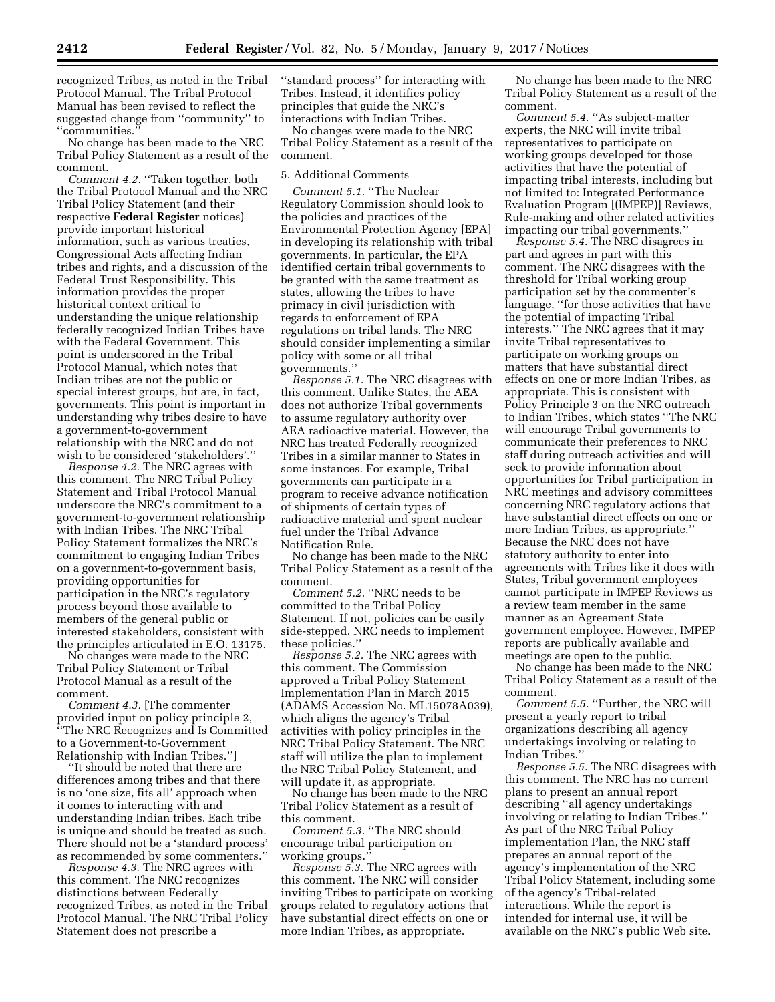recognized Tribes, as noted in the Tribal Protocol Manual. The Tribal Protocol Manual has been revised to reflect the suggested change from ''community'' to ''communities.''

No change has been made to the NRC Tribal Policy Statement as a result of the comment.

*Comment 4.2.* ''Taken together, both the Tribal Protocol Manual and the NRC Tribal Policy Statement (and their respective **Federal Register** notices) provide important historical information, such as various treaties, Congressional Acts affecting Indian tribes and rights, and a discussion of the Federal Trust Responsibility. This information provides the proper historical context critical to understanding the unique relationship federally recognized Indian Tribes have with the Federal Government. This point is underscored in the Tribal Protocol Manual, which notes that Indian tribes are not the public or special interest groups, but are, in fact, governments. This point is important in understanding why tribes desire to have a government-to-government relationship with the NRC and do not wish to be considered 'stakeholders'.'

*Response 4.2.* The NRC agrees with this comment. The NRC Tribal Policy Statement and Tribal Protocol Manual underscore the NRC's commitment to a government-to-government relationship with Indian Tribes. The NRC Tribal Policy Statement formalizes the NRC's commitment to engaging Indian Tribes on a government-to-government basis, providing opportunities for participation in the NRC's regulatory process beyond those available to members of the general public or interested stakeholders, consistent with the principles articulated in E.O. 13175.

No changes were made to the NRC Tribal Policy Statement or Tribal Protocol Manual as a result of the comment.

*Comment 4.3.* [The commenter provided input on policy principle 2, ''The NRC Recognizes and Is Committed to a Government-to-Government Relationship with Indian Tribes.'']

'It should be noted that there are differences among tribes and that there is no 'one size, fits all' approach when it comes to interacting with and understanding Indian tribes. Each tribe is unique and should be treated as such. There should not be a 'standard process' as recommended by some commenters.''

*Response 4.3.* The NRC agrees with this comment. The NRC recognizes distinctions between Federally recognized Tribes, as noted in the Tribal Protocol Manual. The NRC Tribal Policy Statement does not prescribe a

''standard process'' for interacting with Tribes. Instead, it identifies policy principles that guide the NRC's interactions with Indian Tribes.

No changes were made to the NRC Tribal Policy Statement as a result of the comment.

# 5. Additional Comments

*Comment 5.1.* ''The Nuclear Regulatory Commission should look to the policies and practices of the Environmental Protection Agency [EPA] in developing its relationship with tribal governments. In particular, the EPA identified certain tribal governments to be granted with the same treatment as states, allowing the tribes to have primacy in civil jurisdiction with regards to enforcement of EPA regulations on tribal lands. The NRC should consider implementing a similar policy with some or all tribal governments.''

*Response 5.1.* The NRC disagrees with this comment. Unlike States, the AEA does not authorize Tribal governments to assume regulatory authority over AEA radioactive material. However, the NRC has treated Federally recognized Tribes in a similar manner to States in some instances. For example, Tribal governments can participate in a program to receive advance notification of shipments of certain types of radioactive material and spent nuclear fuel under the Tribal Advance Notification Rule.

No change has been made to the NRC Tribal Policy Statement as a result of the comment.

*Comment 5.2.* ''NRC needs to be committed to the Tribal Policy Statement. If not, policies can be easily side-stepped. NRC needs to implement these policies.''

*Response 5.2.* The NRC agrees with this comment. The Commission approved a Tribal Policy Statement Implementation Plan in March 2015 (ADAMS Accession No. ML15078A039), which aligns the agency's Tribal activities with policy principles in the NRC Tribal Policy Statement. The NRC staff will utilize the plan to implement the NRC Tribal Policy Statement, and will update it, as appropriate.

No change has been made to the NRC Tribal Policy Statement as a result of this comment.

*Comment 5.3.* ''The NRC should encourage tribal participation on working groups.''

*Response 5.3.* The NRC agrees with this comment. The NRC will consider inviting Tribes to participate on working groups related to regulatory actions that have substantial direct effects on one or more Indian Tribes, as appropriate.

No change has been made to the NRC Tribal Policy Statement as a result of the comment.

*Comment 5.4.* "As subject-matter experts, the NRC will invite tribal representatives to participate on working groups developed for those activities that have the potential of impacting tribal interests, including but not limited to: Integrated Performance Evaluation Program [(IMPEP)] Reviews, Rule-making and other related activities impacting our tribal governments.''

*Response 5.4.* The NRC disagrees in part and agrees in part with this comment. The NRC disagrees with the threshold for Tribal working group participation set by the commenter's language, ''for those activities that have the potential of impacting Tribal interests.'' The NRC agrees that it may invite Tribal representatives to participate on working groups on matters that have substantial direct effects on one or more Indian Tribes, as appropriate. This is consistent with Policy Principle 3 on the NRC outreach to Indian Tribes, which states ''The NRC will encourage Tribal governments to communicate their preferences to NRC staff during outreach activities and will seek to provide information about opportunities for Tribal participation in NRC meetings and advisory committees concerning NRC regulatory actions that have substantial direct effects on one or more Indian Tribes, as appropriate.'' Because the NRC does not have statutory authority to enter into agreements with Tribes like it does with States, Tribal government employees cannot participate in IMPEP Reviews as a review team member in the same manner as an Agreement State government employee. However, IMPEP reports are publically available and meetings are open to the public.

No change has been made to the NRC Tribal Policy Statement as a result of the comment.

*Comment 5.5.* "Further, the NRC will present a yearly report to tribal organizations describing all agency undertakings involving or relating to Indian Tribes.''

*Response 5.5.* The NRC disagrees with this comment. The NRC has no current plans to present an annual report describing ''all agency undertakings involving or relating to Indian Tribes.'' As part of the NRC Tribal Policy implementation Plan, the NRC staff prepares an annual report of the agency's implementation of the NRC Tribal Policy Statement, including some of the agency's Tribal-related interactions. While the report is intended for internal use, it will be available on the NRC's public Web site.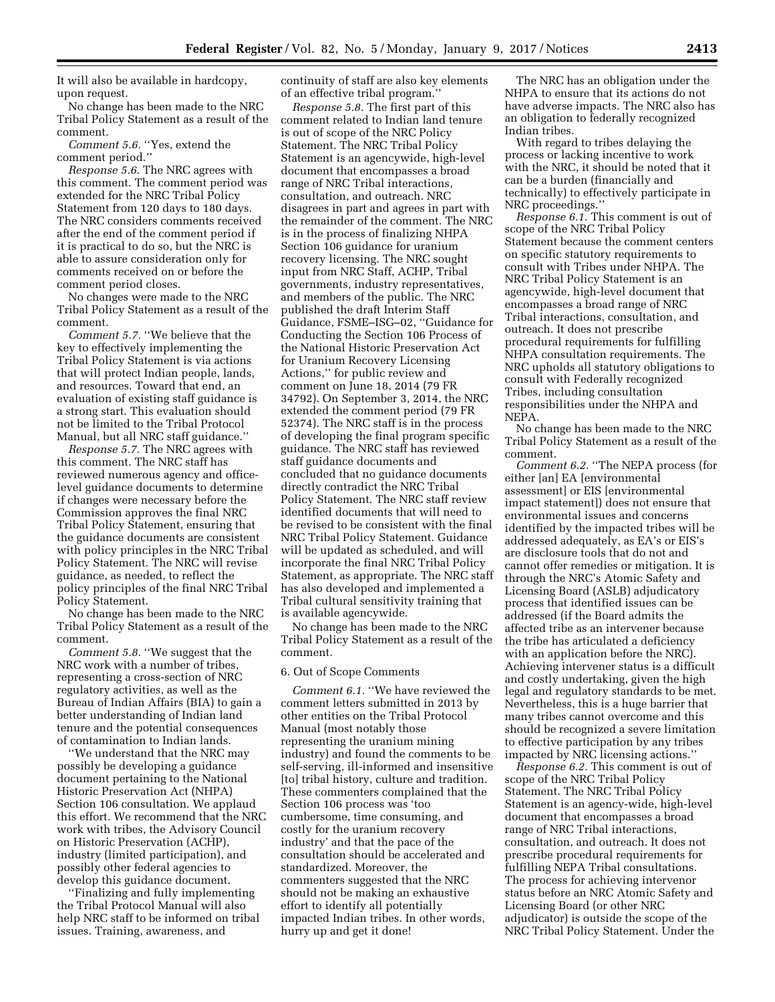It will also be available in hardcopy, upon request.

No change has been made to the NRC Tribal Policy Statement as a result of the comment.

*Comment 5.6.* ''Yes, extend the comment period.''

*Response 5.6.* The NRC agrees with this comment. The comment period was extended for the NRC Tribal Policy Statement from 120 days to 180 days. The NRC considers comments received after the end of the comment period if it is practical to do so, but the NRC is able to assure consideration only for comments received on or before the comment period closes.

No changes were made to the NRC Tribal Policy Statement as a result of the comment.

*Comment 5.7.* ''We believe that the key to effectively implementing the Tribal Policy Statement is via actions that will protect Indian people, lands, and resources. Toward that end, an evaluation of existing staff guidance is a strong start. This evaluation should not be limited to the Tribal Protocol Manual, but all NRC staff guidance.''

*Response 5.7.* The NRC agrees with this comment. The NRC staff has reviewed numerous agency and officelevel guidance documents to determine if changes were necessary before the Commission approves the final NRC Tribal Policy Statement, ensuring that the guidance documents are consistent with policy principles in the NRC Tribal Policy Statement. The NRC will revise guidance, as needed, to reflect the policy principles of the final NRC Tribal Policy Statement.

No change has been made to the NRC Tribal Policy Statement as a result of the comment.

*Comment 5.8.* ''We suggest that the NRC work with a number of tribes, representing a cross-section of NRC regulatory activities, as well as the Bureau of Indian Affairs (BIA) to gain a better understanding of Indian land tenure and the potential consequences of contamination to Indian lands.

''We understand that the NRC may possibly be developing a guidance document pertaining to the National Historic Preservation Act (NHPA) Section 106 consultation. We applaud this effort. We recommend that the NRC work with tribes, the Advisory Council on Historic Preservation (ACHP), industry (limited participation), and possibly other federal agencies to develop this guidance document.

''Finalizing and fully implementing the Tribal Protocol Manual will also help NRC staff to be informed on tribal issues. Training, awareness, and

continuity of staff are also key elements of an effective tribal program.''

*Response 5.8.* The first part of this comment related to Indian land tenure is out of scope of the NRC Policy Statement. The NRC Tribal Policy Statement is an agencywide, high-level document that encompasses a broad range of NRC Tribal interactions, consultation, and outreach. NRC disagrees in part and agrees in part with the remainder of the comment. The NRC is in the process of finalizing NHPA Section 106 guidance for uranium recovery licensing. The NRC sought input from NRC Staff, ACHP, Tribal governments, industry representatives, and members of the public. The NRC published the draft Interim Staff Guidance, FSME–ISG–02, ''Guidance for Conducting the Section 106 Process of the National Historic Preservation Act for Uranium Recovery Licensing Actions,'' for public review and comment on June 18, 2014 (79 FR 34792). On September 3, 2014, the NRC extended the comment period (79 FR 52374). The NRC staff is in the process of developing the final program specific guidance. The NRC staff has reviewed staff guidance documents and concluded that no guidance documents directly contradict the NRC Tribal Policy Statement. The NRC staff review identified documents that will need to be revised to be consistent with the final NRC Tribal Policy Statement. Guidance will be updated as scheduled, and will incorporate the final NRC Tribal Policy Statement, as appropriate. The NRC staff has also developed and implemented a Tribal cultural sensitivity training that is available agencywide.

No change has been made to the NRC Tribal Policy Statement as a result of the comment.

#### 6. Out of Scope Comments

*Comment 6.1.* ''We have reviewed the comment letters submitted in 2013 by other entities on the Tribal Protocol Manual (most notably those representing the uranium mining industry) and found the comments to be self-serving, ill-informed and insensitive [to] tribal history, culture and tradition. These commenters complained that the Section 106 process was 'too cumbersome, time consuming, and costly for the uranium recovery industry' and that the pace of the consultation should be accelerated and standardized. Moreover, the commenters suggested that the NRC should not be making an exhaustive effort to identify all potentially impacted Indian tribes. In other words, hurry up and get it done!

The NRC has an obligation under the NHPA to ensure that its actions do not have adverse impacts. The NRC also has an obligation to federally recognized Indian tribes.

With regard to tribes delaying the process or lacking incentive to work with the NRC, it should be noted that it can be a burden (financially and technically) to effectively participate in NRC proceedings.''

*Response 6.1.* This comment is out of scope of the NRC Tribal Policy Statement because the comment centers on specific statutory requirements to consult with Tribes under NHPA. The NRC Tribal Policy Statement is an agencywide, high-level document that encompasses a broad range of NRC Tribal interactions, consultation, and outreach. It does not prescribe procedural requirements for fulfilling NHPA consultation requirements. The NRC upholds all statutory obligations to consult with Federally recognized Tribes, including consultation responsibilities under the NHPA and NEPA.

No change has been made to the NRC Tribal Policy Statement as a result of the comment.

*Comment 6.2.* ''The NEPA process (for either [an] EA [environmental assessment] or EIS [environmental impact statement]) does not ensure that environmental issues and concerns identified by the impacted tribes will be addressed adequately, as EA's or EIS's are disclosure tools that do not and cannot offer remedies or mitigation. It is through the NRC's Atomic Safety and Licensing Board (ASLB) adjudicatory process that identified issues can be addressed (if the Board admits the affected tribe as an intervener because the tribe has articulated a deficiency with an application before the NRC). Achieving intervener status is a difficult and costly undertaking, given the high legal and regulatory standards to be met. Nevertheless, this is a huge barrier that many tribes cannot overcome and this should be recognized a severe limitation to effective participation by any tribes impacted by NRC licensing actions.''

*Response 6.2.* This comment is out of scope of the NRC Tribal Policy Statement. The NRC Tribal Policy Statement is an agency-wide, high-level document that encompasses a broad range of NRC Tribal interactions, consultation, and outreach. It does not prescribe procedural requirements for fulfilling NEPA Tribal consultations. The process for achieving intervenor status before an NRC Atomic Safety and Licensing Board (or other NRC adjudicator) is outside the scope of the NRC Tribal Policy Statement. Under the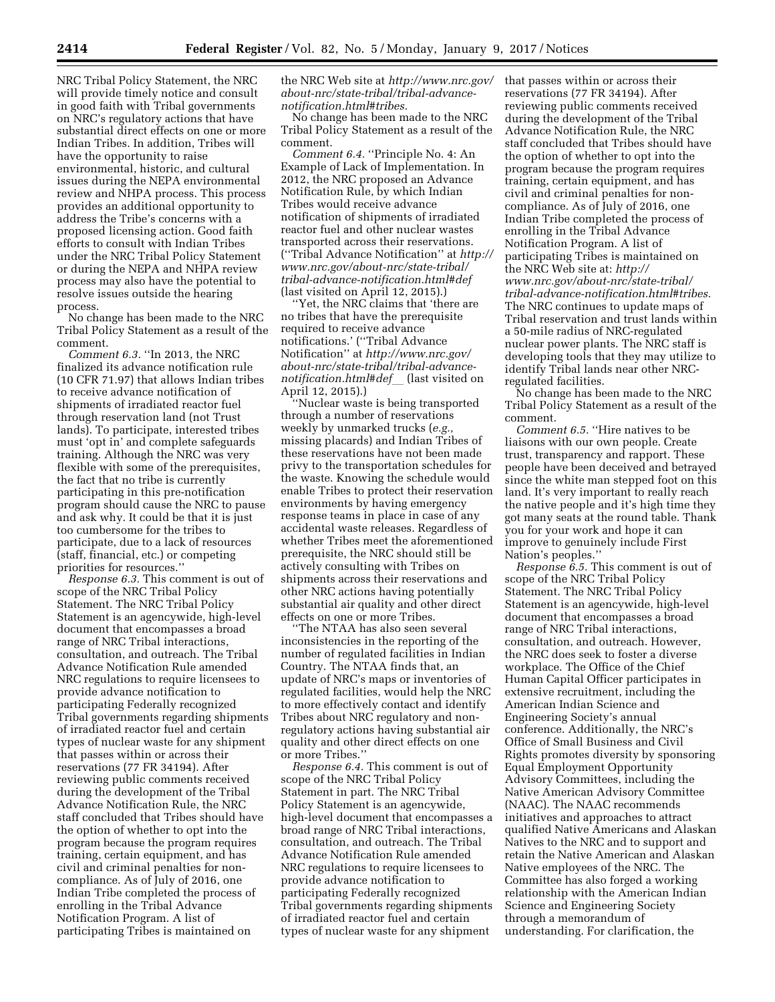NRC Tribal Policy Statement, the NRC will provide timely notice and consult in good faith with Tribal governments on NRC's regulatory actions that have substantial direct effects on one or more Indian Tribes. In addition, Tribes will have the opportunity to raise environmental, historic, and cultural issues during the NEPA environmental review and NHPA process. This process provides an additional opportunity to address the Tribe's concerns with a proposed licensing action. Good faith efforts to consult with Indian Tribes under the NRC Tribal Policy Statement or during the NEPA and NHPA review process may also have the potential to resolve issues outside the hearing process.

No change has been made to the NRC Tribal Policy Statement as a result of the comment.

*Comment 6.3.* ''In 2013, the NRC finalized its advance notification rule (10 CFR 71.97) that allows Indian tribes to receive advance notification of shipments of irradiated reactor fuel through reservation land (not Trust lands). To participate, interested tribes must 'opt in' and complete safeguards training. Although the NRC was very flexible with some of the prerequisites, the fact that no tribe is currently participating in this pre-notification program should cause the NRC to pause and ask why. It could be that it is just too cumbersome for the tribes to participate, due to a lack of resources (staff, financial, etc.) or competing priorities for resources.''

*Response 6.3.* This comment is out of scope of the NRC Tribal Policy Statement. The NRC Tribal Policy Statement is an agencywide, high-level document that encompasses a broad range of NRC Tribal interactions, consultation, and outreach. The Tribal Advance Notification Rule amended NRC regulations to require licensees to provide advance notification to participating Federally recognized Tribal governments regarding shipments of irradiated reactor fuel and certain types of nuclear waste for any shipment that passes within or across their reservations (77 FR 34194). After reviewing public comments received during the development of the Tribal Advance Notification Rule, the NRC staff concluded that Tribes should have the option of whether to opt into the program because the program requires training, certain equipment, and has civil and criminal penalties for noncompliance. As of July of 2016, one Indian Tribe completed the process of enrolling in the Tribal Advance Notification Program. A list of participating Tribes is maintained on

the NRC Web site at *[http://www.nrc.gov/](http://www.nrc.gov/about-nrc/state-tribal/tribal-advance-notification.html#tribes)  [about-nrc/state-tribal/tribal-advance](http://www.nrc.gov/about-nrc/state-tribal/tribal-advance-notification.html#tribes)[notification.html#tribes.](http://www.nrc.gov/about-nrc/state-tribal/tribal-advance-notification.html#tribes)* 

No change has been made to the NRC Tribal Policy Statement as a result of the comment.

*Comment 6.4.* ''Principle No. 4: An Example of Lack of Implementation. In 2012, the NRC proposed an Advance Notification Rule, by which Indian Tribes would receive advance notification of shipments of irradiated reactor fuel and other nuclear wastes transported across their reservations. (''Tribal Advance Notification'' at *[http://](http://www.nrc.gov/about-nrc/state-tribal/tribal-advance-notification.html#def)  [www.nrc.gov/about-nrc/state-tribal/](http://www.nrc.gov/about-nrc/state-tribal/tribal-advance-notification.html#def) [tribal-advance-notification.html#def](http://www.nrc.gov/about-nrc/state-tribal/tribal-advance-notification.html#def)*  (last visited on April 12, 2015).)

''Yet, the NRC claims that 'there are no tribes that have the prerequisite required to receive advance notifications.' (''Tribal Advance Notification'' at *[http://www.nrc.gov/](http://www.nrc.gov/about-nrc/state-tribal/tribal-advance-notification.html#defl) [about-nrc/state-tribal/tribal-advance](http://www.nrc.gov/about-nrc/state-tribal/tribal-advance-notification.html#defl)[notification.html#def](http://www.nrc.gov/about-nrc/state-tribal/tribal-advance-notification.html#defl)*l (last visited on April 12, 2015).)

'Nuclear waste is being transported through a number of reservations weekly by unmarked trucks (*e.g.,*  missing placards) and Indian Tribes of these reservations have not been made privy to the transportation schedules for the waste. Knowing the schedule would enable Tribes to protect their reservation environments by having emergency response teams in place in case of any accidental waste releases. Regardless of whether Tribes meet the aforementioned prerequisite, the NRC should still be actively consulting with Tribes on shipments across their reservations and other NRC actions having potentially substantial air quality and other direct effects on one or more Tribes.

''The NTAA has also seen several inconsistencies in the reporting of the number of regulated facilities in Indian Country. The NTAA finds that, an update of NRC's maps or inventories of regulated facilities, would help the NRC to more effectively contact and identify Tribes about NRC regulatory and nonregulatory actions having substantial air quality and other direct effects on one or more Tribes.''

*Response 6.4.* This comment is out of scope of the NRC Tribal Policy Statement in part. The NRC Tribal Policy Statement is an agencywide, high-level document that encompasses a broad range of NRC Tribal interactions, consultation, and outreach. The Tribal Advance Notification Rule amended NRC regulations to require licensees to provide advance notification to participating Federally recognized Tribal governments regarding shipments of irradiated reactor fuel and certain types of nuclear waste for any shipment

that passes within or across their reservations (77 FR 34194). After reviewing public comments received during the development of the Tribal Advance Notification Rule, the NRC staff concluded that Tribes should have the option of whether to opt into the program because the program requires training, certain equipment, and has civil and criminal penalties for noncompliance. As of July of 2016, one Indian Tribe completed the process of enrolling in the Tribal Advance Notification Program. A list of participating Tribes is maintained on the NRC Web site at: *[http://](http://www.nrc.gov/about-nrc/state-tribal/tribal-advance-notification.html#tribes) [www.nrc.gov/about-nrc/state-tribal/](http://www.nrc.gov/about-nrc/state-tribal/tribal-advance-notification.html#tribes) [tribal-advance-notification.html#tribes.](http://www.nrc.gov/about-nrc/state-tribal/tribal-advance-notification.html#tribes)*  The NRC continues to update maps of Tribal reservation and trust lands within a 50-mile radius of NRC-regulated nuclear power plants. The NRC staff is developing tools that they may utilize to identify Tribal lands near other NRCregulated facilities.

No change has been made to the NRC Tribal Policy Statement as a result of the comment.

*Comment 6.5.* "Hire natives to be liaisons with our own people. Create trust, transparency and rapport. These people have been deceived and betrayed since the white man stepped foot on this land. It's very important to really reach the native people and it's high time they got many seats at the round table. Thank you for your work and hope it can improve to genuinely include First Nation's peoples.''

*Response 6.5.* This comment is out of scope of the NRC Tribal Policy Statement. The NRC Tribal Policy Statement is an agencywide, high-level document that encompasses a broad range of NRC Tribal interactions, consultation, and outreach. However, the NRC does seek to foster a diverse workplace. The Office of the Chief Human Capital Officer participates in extensive recruitment, including the American Indian Science and Engineering Society's annual conference. Additionally, the NRC's Office of Small Business and Civil Rights promotes diversity by sponsoring Equal Employment Opportunity Advisory Committees, including the Native American Advisory Committee (NAAC). The NAAC recommends initiatives and approaches to attract qualified Native Americans and Alaskan Natives to the NRC and to support and retain the Native American and Alaskan Native employees of the NRC. The Committee has also forged a working relationship with the American Indian Science and Engineering Society through a memorandum of understanding. For clarification, the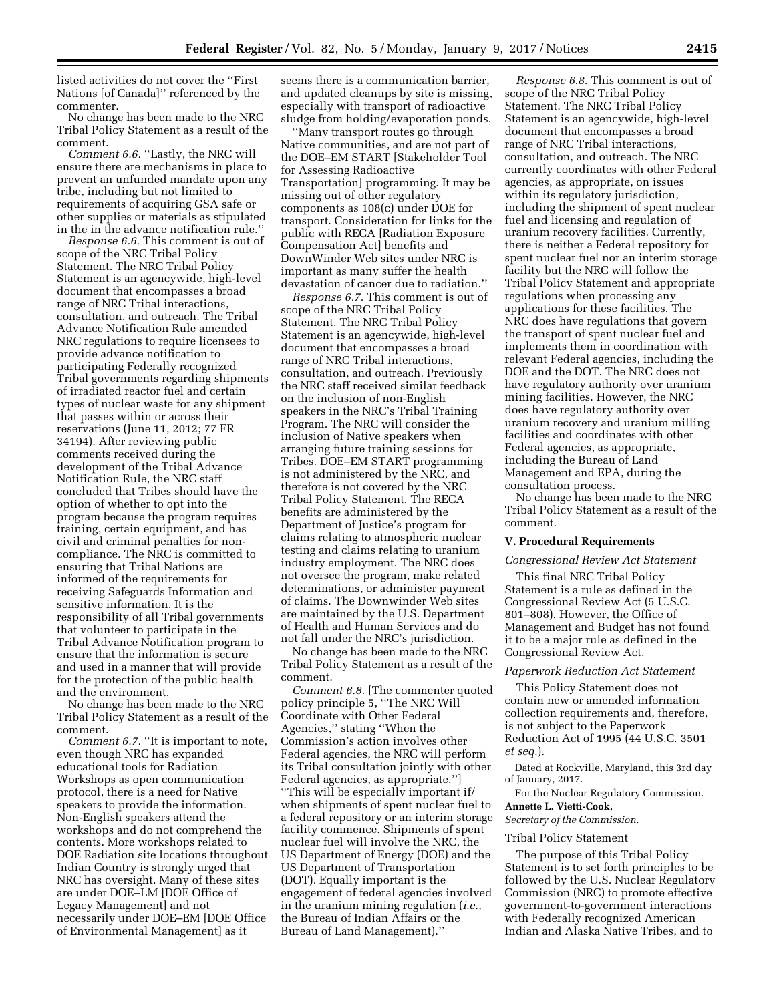listed activities do not cover the ''First Nations [of Canada]'' referenced by the commenter.

No change has been made to the NRC Tribal Policy Statement as a result of the comment.

*Comment 6.6.* ''Lastly, the NRC will ensure there are mechanisms in place to prevent an unfunded mandate upon any tribe, including but not limited to requirements of acquiring GSA safe or other supplies or materials as stipulated in the in the advance notification rule.''

*Response 6.6.* This comment is out of scope of the NRC Tribal Policy Statement. The NRC Tribal Policy Statement is an agencywide, high-level document that encompasses a broad range of NRC Tribal interactions, consultation, and outreach. The Tribal Advance Notification Rule amended NRC regulations to require licensees to provide advance notification to participating Federally recognized Tribal governments regarding shipments of irradiated reactor fuel and certain types of nuclear waste for any shipment that passes within or across their reservations (June 11, 2012; 77 FR 34194). After reviewing public comments received during the development of the Tribal Advance Notification Rule, the NRC staff concluded that Tribes should have the option of whether to opt into the program because the program requires training, certain equipment, and has civil and criminal penalties for noncompliance. The NRC is committed to ensuring that Tribal Nations are informed of the requirements for receiving Safeguards Information and sensitive information. It is the responsibility of all Tribal governments that volunteer to participate in the Tribal Advance Notification program to ensure that the information is secure and used in a manner that will provide for the protection of the public health and the environment.

No change has been made to the NRC Tribal Policy Statement as a result of the comment.

*Comment 6.7.* ''It is important to note, even though NRC has expanded educational tools for Radiation Workshops as open communication protocol, there is a need for Native speakers to provide the information. Non-English speakers attend the workshops and do not comprehend the contents. More workshops related to DOE Radiation site locations throughout Indian Country is strongly urged that NRC has oversight. Many of these sites are under DOE–LM [DOE Office of Legacy Management] and not necessarily under DOE–EM [DOE Office of Environmental Management] as it

seems there is a communication barrier, and updated cleanups by site is missing, especially with transport of radioactive sludge from holding/evaporation ponds.

''Many transport routes go through Native communities, and are not part of the DOE–EM START [Stakeholder Tool for Assessing Radioactive Transportation] programming. It may be missing out of other regulatory components as 108(c) under DOE for transport. Consideration for links for the public with RECA [Radiation Exposure Compensation Act] benefits and DownWinder Web sites under NRC is important as many suffer the health devastation of cancer due to radiation.''

*Response 6.7.* This comment is out of scope of the NRC Tribal Policy Statement. The NRC Tribal Policy Statement is an agencywide, high-level document that encompasses a broad range of NRC Tribal interactions, consultation, and outreach. Previously the NRC staff received similar feedback on the inclusion of non-English speakers in the NRC's Tribal Training Program. The NRC will consider the inclusion of Native speakers when arranging future training sessions for Tribes. DOE–EM START programming is not administered by the NRC, and therefore is not covered by the NRC Tribal Policy Statement. The RECA benefits are administered by the Department of Justice's program for claims relating to atmospheric nuclear testing and claims relating to uranium industry employment. The NRC does not oversee the program, make related determinations, or administer payment of claims. The Downwinder Web sites are maintained by the U.S. Department of Health and Human Services and do not fall under the NRC's jurisdiction.

No change has been made to the NRC Tribal Policy Statement as a result of the comment.

*Comment 6.8.* [The commenter quoted] policy principle 5, ''The NRC Will Coordinate with Other Federal Agencies,'' stating ''When the Commission's action involves other Federal agencies, the NRC will perform its Tribal consultation jointly with other Federal agencies, as appropriate.''] ''This will be especially important if/ when shipments of spent nuclear fuel to a federal repository or an interim storage facility commence. Shipments of spent nuclear fuel will involve the NRC, the US Department of Energy (DOE) and the US Department of Transportation (DOT). Equally important is the engagement of federal agencies involved in the uranium mining regulation (*i.e.,*  the Bureau of Indian Affairs or the Bureau of Land Management).''

*Response 6.8.* This comment is out of scope of the NRC Tribal Policy Statement. The NRC Tribal Policy Statement is an agencywide, high-level document that encompasses a broad range of NRC Tribal interactions, consultation, and outreach. The NRC currently coordinates with other Federal agencies, as appropriate, on issues within its regulatory jurisdiction, including the shipment of spent nuclear fuel and licensing and regulation of uranium recovery facilities. Currently, there is neither a Federal repository for spent nuclear fuel nor an interim storage facility but the NRC will follow the Tribal Policy Statement and appropriate regulations when processing any applications for these facilities. The NRC does have regulations that govern the transport of spent nuclear fuel and implements them in coordination with relevant Federal agencies, including the DOE and the DOT. The NRC does not have regulatory authority over uranium mining facilities. However, the NRC does have regulatory authority over uranium recovery and uranium milling facilities and coordinates with other Federal agencies, as appropriate, including the Bureau of Land Management and EPA, during the consultation process.

No change has been made to the NRC Tribal Policy Statement as a result of the comment.

#### **V. Procedural Requirements**

#### *Congressional Review Act Statement*

This final NRC Tribal Policy Statement is a rule as defined in the Congressional Review Act (5 U.S.C. 801–808). However, the Office of Management and Budget has not found it to be a major rule as defined in the Congressional Review Act.

#### *Paperwork Reduction Act Statement*

This Policy Statement does not contain new or amended information collection requirements and, therefore, is not subject to the Paperwork Reduction Act of 1995 (44 U.S.C. 3501 *et seq.*).

Dated at Rockville, Maryland, this 3rd day of January, 2017.

For the Nuclear Regulatory Commission.

# **Annette L. Vietti-Cook,**

*Secretary of the Commission.* 

#### Tribal Policy Statement

The purpose of this Tribal Policy Statement is to set forth principles to be followed by the U.S. Nuclear Regulatory Commission (NRC) to promote effective government-to-government interactions with Federally recognized American Indian and Alaska Native Tribes, and to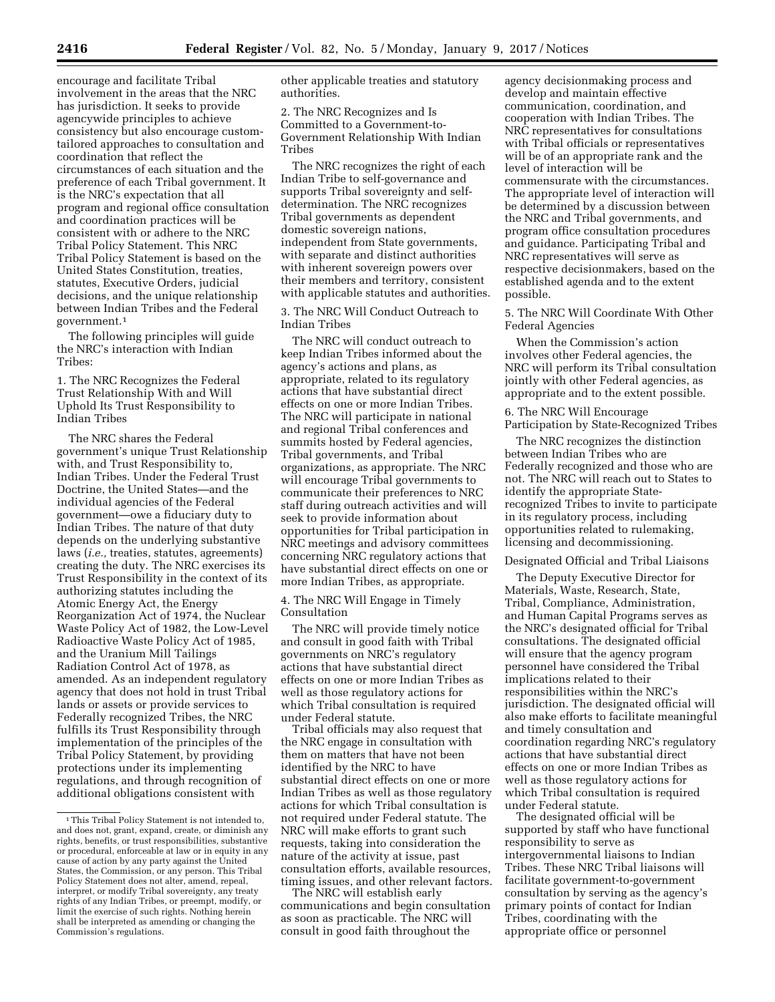encourage and facilitate Tribal involvement in the areas that the NRC has jurisdiction. It seeks to provide agencywide principles to achieve consistency but also encourage customtailored approaches to consultation and coordination that reflect the circumstances of each situation and the preference of each Tribal government. It is the NRC's expectation that all program and regional office consultation and coordination practices will be consistent with or adhere to the NRC Tribal Policy Statement. This NRC Tribal Policy Statement is based on the United States Constitution, treaties, statutes, Executive Orders, judicial decisions, and the unique relationship between Indian Tribes and the Federal government.1

The following principles will guide the NRC's interaction with Indian Tribes:

1. The NRC Recognizes the Federal Trust Relationship With and Will Uphold Its Trust Responsibility to Indian Tribes

The NRC shares the Federal government's unique Trust Relationship with, and Trust Responsibility to, Indian Tribes. Under the Federal Trust Doctrine, the United States—and the individual agencies of the Federal government—owe a fiduciary duty to Indian Tribes. The nature of that duty depends on the underlying substantive laws (*i.e.,* treaties, statutes, agreements) creating the duty. The NRC exercises its Trust Responsibility in the context of its authorizing statutes including the Atomic Energy Act, the Energy Reorganization Act of 1974, the Nuclear Waste Policy Act of 1982, the Low-Level Radioactive Waste Policy Act of 1985, and the Uranium Mill Tailings Radiation Control Act of 1978, as amended. As an independent regulatory agency that does not hold in trust Tribal lands or assets or provide services to Federally recognized Tribes, the NRC fulfills its Trust Responsibility through implementation of the principles of the Tribal Policy Statement, by providing protections under its implementing regulations, and through recognition of additional obligations consistent with

other applicable treaties and statutory authorities.

2. The NRC Recognizes and Is Committed to a Government-to-Government Relationship With Indian Tribes

The NRC recognizes the right of each Indian Tribe to self-governance and supports Tribal sovereignty and selfdetermination. The NRC recognizes Tribal governments as dependent domestic sovereign nations, independent from State governments, with separate and distinct authorities with inherent sovereign powers over their members and territory, consistent with applicable statutes and authorities.

3. The NRC Will Conduct Outreach to Indian Tribes

The NRC will conduct outreach to keep Indian Tribes informed about the agency's actions and plans, as appropriate, related to its regulatory actions that have substantial direct effects on one or more Indian Tribes. The NRC will participate in national and regional Tribal conferences and summits hosted by Federal agencies, Tribal governments, and Tribal organizations, as appropriate. The NRC will encourage Tribal governments to communicate their preferences to NRC staff during outreach activities and will seek to provide information about opportunities for Tribal participation in NRC meetings and advisory committees concerning NRC regulatory actions that have substantial direct effects on one or more Indian Tribes, as appropriate.

4. The NRC Will Engage in Timely Consultation

The NRC will provide timely notice and consult in good faith with Tribal governments on NRC's regulatory actions that have substantial direct effects on one or more Indian Tribes as well as those regulatory actions for which Tribal consultation is required under Federal statute.

Tribal officials may also request that the NRC engage in consultation with them on matters that have not been identified by the NRC to have substantial direct effects on one or more Indian Tribes as well as those regulatory actions for which Tribal consultation is not required under Federal statute. The NRC will make efforts to grant such requests, taking into consideration the nature of the activity at issue, past consultation efforts, available resources, timing issues, and other relevant factors.

The NRC will establish early communications and begin consultation as soon as practicable. The NRC will consult in good faith throughout the

agency decisionmaking process and develop and maintain effective communication, coordination, and cooperation with Indian Tribes. The NRC representatives for consultations with Tribal officials or representatives will be of an appropriate rank and the level of interaction will be commensurate with the circumstances. The appropriate level of interaction will be determined by a discussion between the NRC and Tribal governments, and program office consultation procedures and guidance. Participating Tribal and NRC representatives will serve as respective decisionmakers, based on the established agenda and to the extent possible.

5. The NRC Will Coordinate With Other Federal Agencies

When the Commission's action involves other Federal agencies, the NRC will perform its Tribal consultation jointly with other Federal agencies, as appropriate and to the extent possible.

6. The NRC Will Encourage Participation by State-Recognized Tribes

The NRC recognizes the distinction between Indian Tribes who are Federally recognized and those who are not. The NRC will reach out to States to identify the appropriate Staterecognized Tribes to invite to participate in its regulatory process, including opportunities related to rulemaking, licensing and decommissioning.

Designated Official and Tribal Liaisons

The Deputy Executive Director for Materials, Waste, Research, State, Tribal, Compliance, Administration, and Human Capital Programs serves as the NRC's designated official for Tribal consultations. The designated official will ensure that the agency program personnel have considered the Tribal implications related to their responsibilities within the NRC's jurisdiction. The designated official will also make efforts to facilitate meaningful and timely consultation and coordination regarding NRC's regulatory actions that have substantial direct effects on one or more Indian Tribes as well as those regulatory actions for which Tribal consultation is required under Federal statute.

The designated official will be supported by staff who have functional responsibility to serve as intergovernmental liaisons to Indian Tribes. These NRC Tribal liaisons will facilitate government-to-government consultation by serving as the agency's primary points of contact for Indian Tribes, coordinating with the appropriate office or personnel

<sup>1</sup>This Tribal Policy Statement is not intended to, and does not, grant, expand, create, or diminish any rights, benefits, or trust responsibilities, substantive or procedural, enforceable at law or in equity in any cause of action by any party against the United States, the Commission, or any person. This Tribal Policy Statement does not alter, amend, repeal, interpret, or modify Tribal sovereignty, any treaty rights of any Indian Tribes, or preempt, modify, or limit the exercise of such rights. Nothing herein shall be interpreted as amending or changing the Commission's regulations.